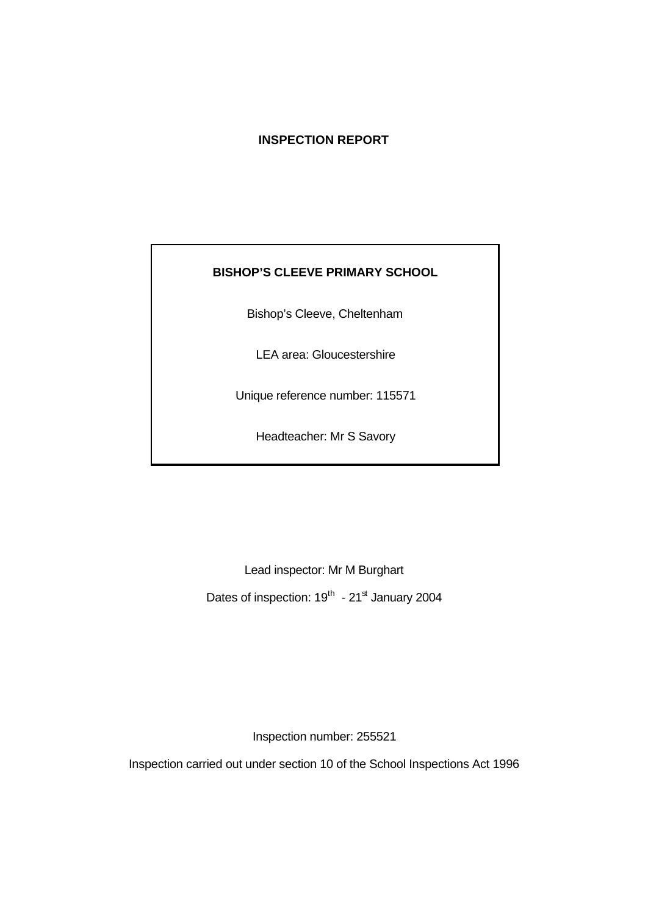# **INSPECTION REPORT**

### **BISHOP'S CLEEVE PRIMARY SCHOOL**

Bishop's Cleeve, Cheltenham

LEA area: Gloucestershire

Unique reference number: 115571

Headteacher: Mr S Savory

Lead inspector: Mr M Burghart Dates of inspection:  $19^{th}$  -  $21^{st}$  January 2004

Inspection number: 255521

Inspection carried out under section 10 of the School Inspections Act 1996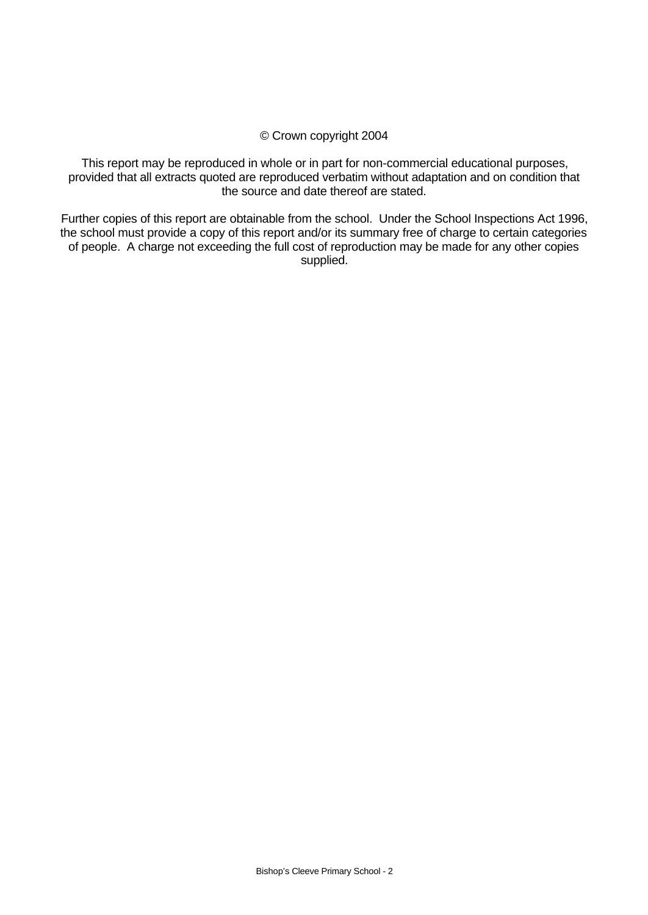#### © Crown copyright 2004

This report may be reproduced in whole or in part for non-commercial educational purposes, provided that all extracts quoted are reproduced verbatim without adaptation and on condition that the source and date thereof are stated.

Further copies of this report are obtainable from the school. Under the School Inspections Act 1996, the school must provide a copy of this report and/or its summary free of charge to certain categories of people. A charge not exceeding the full cost of reproduction may be made for any other copies supplied.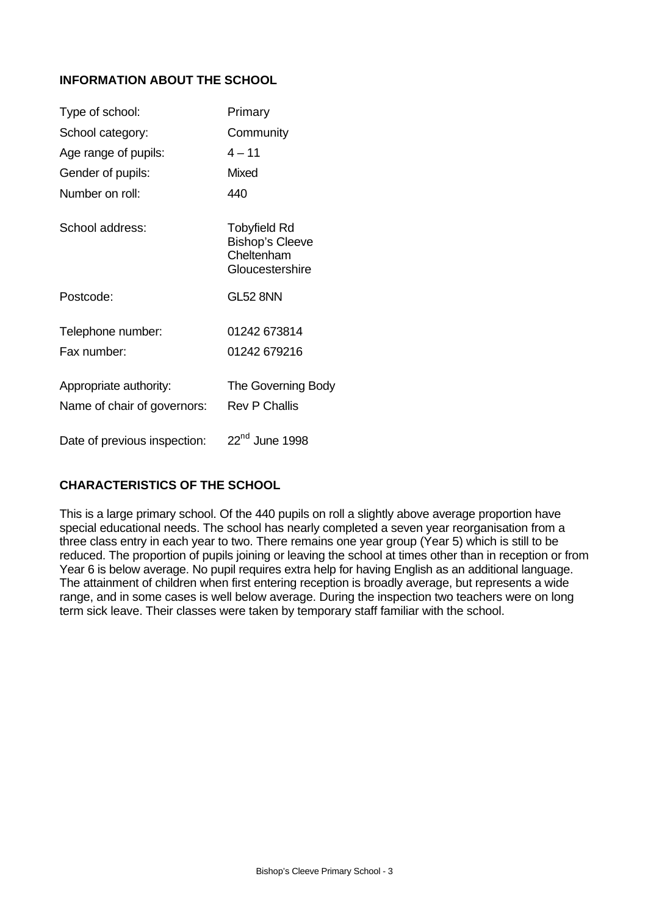# **INFORMATION ABOUT THE SCHOOL**

| Type of school:                                       | Primary                                                                 |
|-------------------------------------------------------|-------------------------------------------------------------------------|
| School category:                                      | Community                                                               |
| Age range of pupils:                                  | $4 - 11$                                                                |
| Gender of pupils:                                     | <b>Mixed</b>                                                            |
| Number on roll:                                       | 440                                                                     |
| School address:                                       | Tobyfield Rd<br><b>Bishop's Cleeve</b><br>Cheltenham<br>Gloucestershire |
| Postcode:                                             | <b>GL52 8NN</b>                                                         |
| Telephone number:                                     | 01242 673814                                                            |
| Fax number:                                           | 01242 679216                                                            |
| Appropriate authority:<br>Name of chair of governors: | The Governing Body<br><b>Rev P Challis</b>                              |
| Date of previous inspection:                          | $22nd$ June 1998                                                        |

# **CHARACTERISTICS OF THE SCHOOL**

This is a large primary school. Of the 440 pupils on roll a slightly above average proportion have special educational needs. The school has nearly completed a seven year reorganisation from a three class entry in each year to two. There remains one year group (Year 5) which is still to be reduced. The proportion of pupils joining or leaving the school at times other than in reception or from Year 6 is below average. No pupil requires extra help for having English as an additional language. The attainment of children when first entering reception is broadly average, but represents a wide range, and in some cases is well below average. During the inspection two teachers were on long term sick leave. Their classes were taken by temporary staff familiar with the school.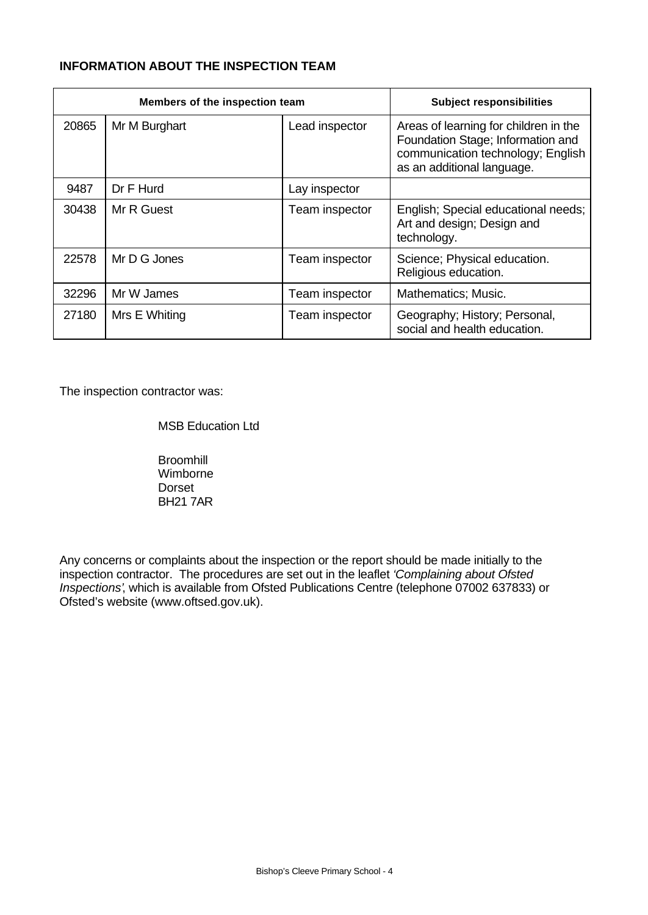# **INFORMATION ABOUT THE INSPECTION TEAM**

| Members of the inspection team |               |                | <b>Subject responsibilities</b>                                                                                                               |
|--------------------------------|---------------|----------------|-----------------------------------------------------------------------------------------------------------------------------------------------|
| 20865                          | Mr M Burghart | Lead inspector | Areas of learning for children in the<br>Foundation Stage; Information and<br>communication technology; English<br>as an additional language. |
| 9487                           | Dr F Hurd     | Lay inspector  |                                                                                                                                               |
| 30438                          | Mr R Guest    | Team inspector | English; Special educational needs;<br>Art and design; Design and<br>technology.                                                              |
| 22578                          | Mr D G Jones  | Team inspector | Science; Physical education.<br>Religious education.                                                                                          |
| 32296                          | Mr W James    | Team inspector | Mathematics; Music.                                                                                                                           |
| 27180                          | Mrs E Whiting | Team inspector | Geography; History; Personal,<br>social and health education.                                                                                 |

The inspection contractor was:

**Broomhill** Wimborne Dorset BH21 7AR

Any concerns or complaints about the inspection or the report should be made initially to the inspection contractor. The procedures are set out in the leaflet *'Complaining about Ofsted Inspections'*, which is available from Ofsted Publications Centre (telephone 07002 637833) or Ofsted's website (www.oftsed.gov.uk).

MSB Education Ltd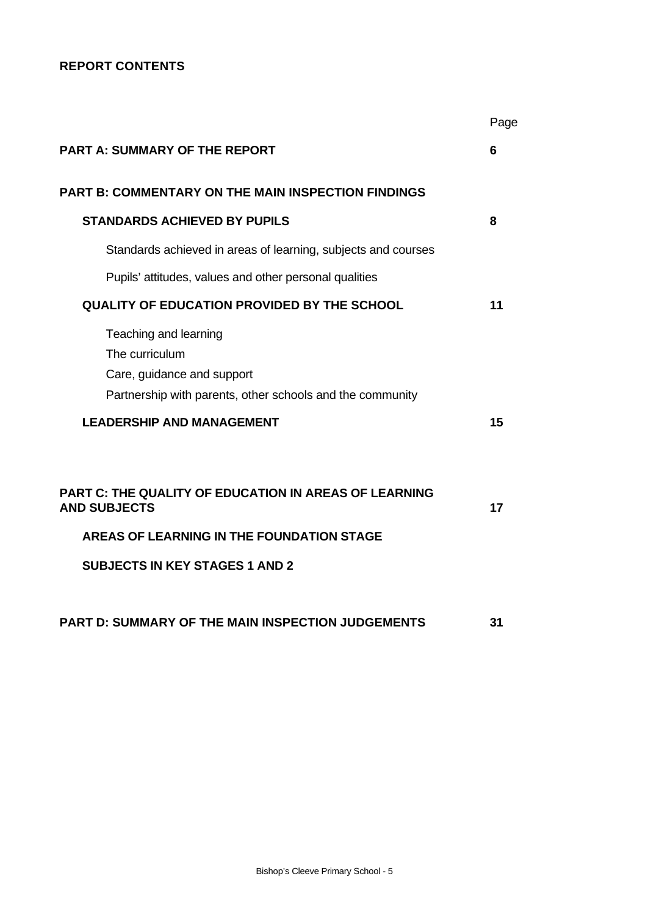# **REPORT CONTENTS**

|                                                                                                                                    | Page |
|------------------------------------------------------------------------------------------------------------------------------------|------|
| <b>PART A: SUMMARY OF THE REPORT</b>                                                                                               | 6    |
| <b>PART B: COMMENTARY ON THE MAIN INSPECTION FINDINGS</b>                                                                          |      |
| <b>STANDARDS ACHIEVED BY PUPILS</b>                                                                                                | 8    |
| Standards achieved in areas of learning, subjects and courses                                                                      |      |
| Pupils' attitudes, values and other personal qualities                                                                             |      |
| <b>QUALITY OF EDUCATION PROVIDED BY THE SCHOOL</b>                                                                                 | 11   |
| Teaching and learning<br>The curriculum<br>Care, guidance and support<br>Partnership with parents, other schools and the community |      |
| <b>LEADERSHIP AND MANAGEMENT</b>                                                                                                   | 15   |
| PART C: THE QUALITY OF EDUCATION IN AREAS OF LEARNING<br><b>AND SUBJECTS</b>                                                       | 17   |
| AREAS OF LEARNING IN THE FOUNDATION STAGE                                                                                          |      |
| <b>SUBJECTS IN KEY STAGES 1 AND 2</b>                                                                                              |      |
| PART D: SUMMARY OF THE MAIN INSPECTION JUDGEMENTS                                                                                  | 31   |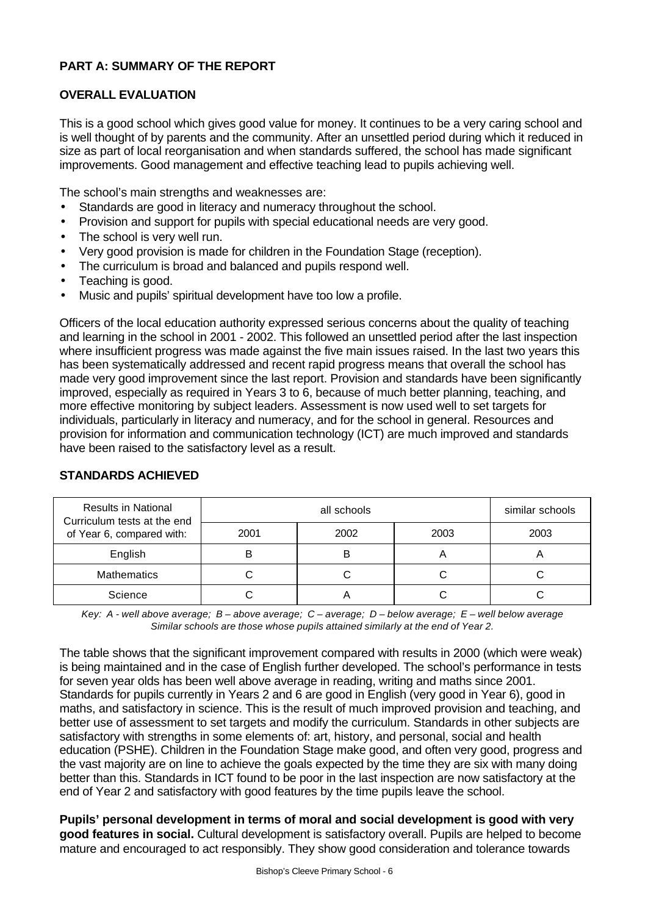# **PART A: SUMMARY OF THE REPORT**

#### **OVERALL EVALUATION**

This is a good school which gives good value for money. It continues to be a very caring school and is well thought of by parents and the community. After an unsettled period during which it reduced in size as part of local reorganisation and when standards suffered, the school has made significant improvements. Good management and effective teaching lead to pupils achieving well.

The school's main strengths and weaknesses are:

- Standards are good in literacy and numeracy throughout the school.
- Provision and support for pupils with special educational needs are very good.
- The school is very well run.
- Very good provision is made for children in the Foundation Stage (reception).
- The curriculum is broad and balanced and pupils respond well.
- Teaching is good.
- Music and pupils' spiritual development have too low a profile.

Officers of the local education authority expressed serious concerns about the quality of teaching and learning in the school in 2001 - 2002. This followed an unsettled period after the last inspection where insufficient progress was made against the five main issues raised. In the last two years this has been systematically addressed and recent rapid progress means that overall the school has made very good improvement since the last report. Provision and standards have been significantly improved, especially as required in Years 3 to 6, because of much better planning, teaching, and more effective monitoring by subject leaders. Assessment is now used well to set targets for individuals, particularly in literacy and numeracy, and for the school in general. Resources and provision for information and communication technology (ICT) are much improved and standards have been raised to the satisfactory level as a result.

| <b>Results in National</b><br>Curriculum tests at the end |      | similar schools |      |      |
|-----------------------------------------------------------|------|-----------------|------|------|
| of Year 6, compared with:                                 | 2001 | 2002            | 2003 | 2003 |
| English                                                   |      |                 |      |      |
| <b>Mathematics</b>                                        |      |                 |      |      |
| Science                                                   |      |                 |      |      |

# **STANDARDS ACHIEVED**

*Key: A - well above average; B – above average; C – average; D – below average; E – well below average Similar schools are those whose pupils attained similarly at the end of Year 2.*

The table shows that the significant improvement compared with results in 2000 (which were weak) is being maintained and in the case of English further developed. The school's performance in tests for seven year olds has been well above average in reading, writing and maths since 2001. Standards for pupils currently in Years 2 and 6 are good in English (very good in Year 6), good in maths, and satisfactory in science. This is the result of much improved provision and teaching, and better use of assessment to set targets and modify the curriculum. Standards in other subjects are satisfactory with strengths in some elements of: art, history, and personal, social and health education (PSHE). Children in the Foundation Stage make good, and often very good, progress and the vast majority are on line to achieve the goals expected by the time they are six with many doing better than this. Standards in ICT found to be poor in the last inspection are now satisfactory at the end of Year 2 and satisfactory with good features by the time pupils leave the school.

**Pupils' personal development in terms of moral and social development is good with very good features in social.** Cultural development is satisfactory overall. Pupils are helped to become mature and encouraged to act responsibly. They show good consideration and tolerance towards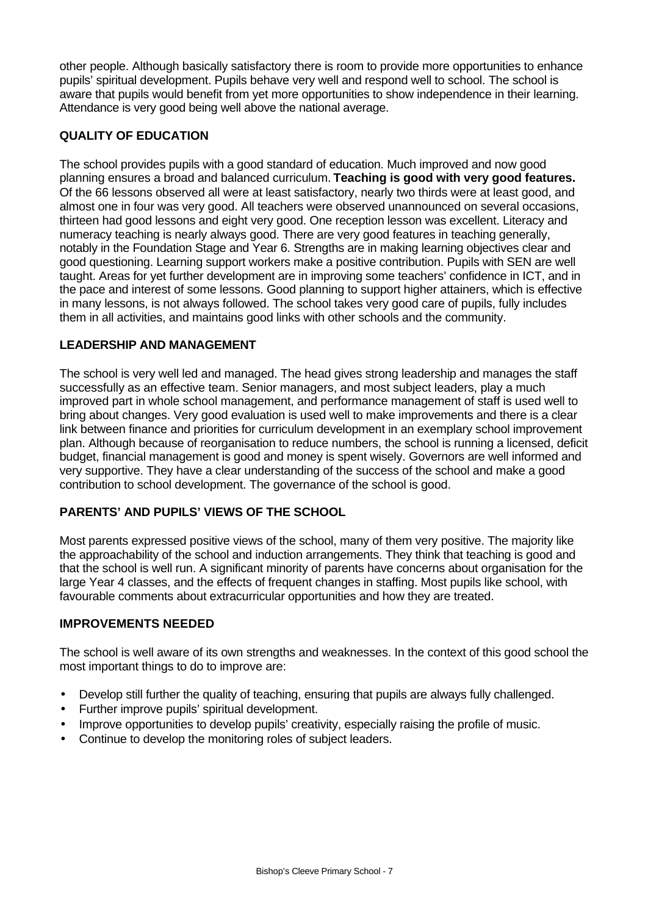other people. Although basically satisfactory there is room to provide more opportunities to enhance pupils' spiritual development. Pupils behave very well and respond well to school. The school is aware that pupils would benefit from yet more opportunities to show independence in their learning. Attendance is very good being well above the national average.

# **QUALITY OF EDUCATION**

The school provides pupils with a good standard of education. Much improved and now good planning ensures a broad and balanced curriculum. **Teaching is good with very good features.** Of the 66 lessons observed all were at least satisfactory, nearly two thirds were at least good, and almost one in four was very good. All teachers were observed unannounced on several occasions, thirteen had good lessons and eight very good. One reception lesson was excellent. Literacy and numeracy teaching is nearly always good. There are very good features in teaching generally, notably in the Foundation Stage and Year 6. Strengths are in making learning objectives clear and good questioning. Learning support workers make a positive contribution. Pupils with SEN are well taught. Areas for yet further development are in improving some teachers' confidence in ICT, and in the pace and interest of some lessons. Good planning to support higher attainers, which is effective in many lessons, is not always followed. The school takes very good care of pupils, fully includes them in all activities, and maintains good links with other schools and the community.

### **LEADERSHIP AND MANAGEMENT**

The school is very well led and managed. The head gives strong leadership and manages the staff successfully as an effective team. Senior managers, and most subject leaders, play a much improved part in whole school management, and performance management of staff is used well to bring about changes. Very good evaluation is used well to make improvements and there is a clear link between finance and priorities for curriculum development in an exemplary school improvement plan. Although because of reorganisation to reduce numbers, the school is running a licensed, deficit budget, financial management is good and money is spent wisely. Governors are well informed and very supportive. They have a clear understanding of the success of the school and make a good contribution to school development. The governance of the school is good.

# **PARENTS' AND PUPILS' VIEWS OF THE SCHOOL**

Most parents expressed positive views of the school, many of them very positive. The majority like the approachability of the school and induction arrangements. They think that teaching is good and that the school is well run. A significant minority of parents have concerns about organisation for the large Year 4 classes, and the effects of frequent changes in staffing. Most pupils like school, with favourable comments about extracurricular opportunities and how they are treated.

#### **IMPROVEMENTS NEEDED**

The school is well aware of its own strengths and weaknesses. In the context of this good school the most important things to do to improve are:

- Develop still further the quality of teaching, ensuring that pupils are always fully challenged.
- Further improve pupils' spiritual development.
- Improve opportunities to develop pupils' creativity, especially raising the profile of music.
- Continue to develop the monitoring roles of subject leaders.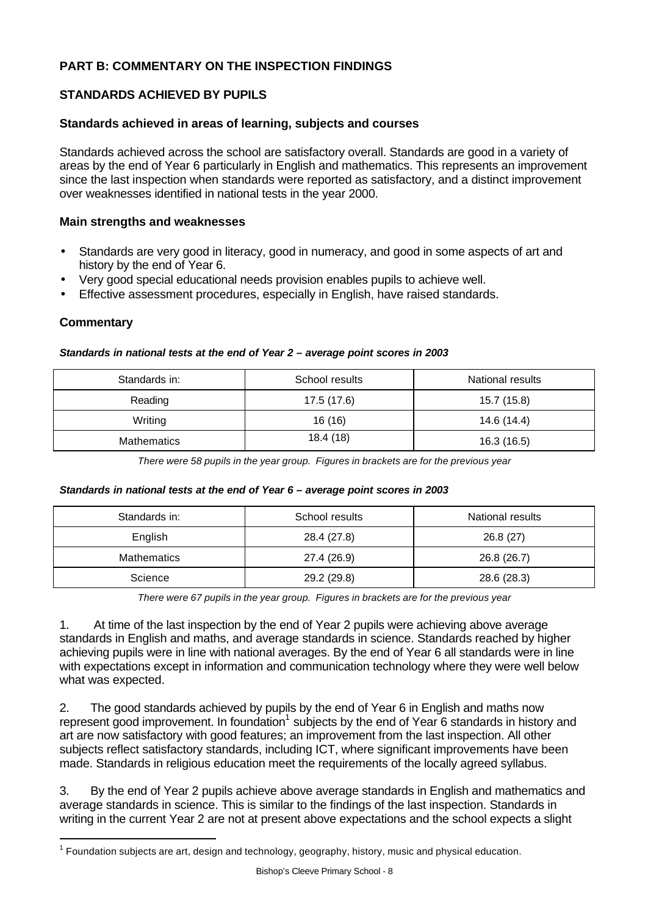# **PART B: COMMENTARY ON THE INSPECTION FINDINGS**

### **STANDARDS ACHIEVED BY PUPILS**

#### **Standards achieved in areas of learning, subjects and courses**

Standards achieved across the school are satisfactory overall. Standards are good in a variety of areas by the end of Year 6 particularly in English and mathematics. This represents an improvement since the last inspection when standards were reported as satisfactory, and a distinct improvement over weaknesses identified in national tests in the year 2000.

#### **Main strengths and weaknesses**

- Standards are very good in literacy, good in numeracy, and good in some aspects of art and history by the end of Year 6.
- Very good special educational needs provision enables pupils to achieve well.
- Effective assessment procedures, especially in English, have raised standards.

#### **Commentary**

l

# Standards in: School results National results Reading 17.5 (17.6) 17.5 (17.6) 15.7 (15.8) Writing 16 (16) 14.6 (14.4) Mathematics 18.4 (18) 18.4 (18) 16.3 (16.5)

#### *Standards in national tests at the end of Year 2 – average point scores in 2003*

*There were 58 pupils in the year group. Figures in brackets are for the previous year*

#### *Standards in national tests at the end of Year 6 – average point scores in 2003*

| Standards in:      | School results | National results |  |  |
|--------------------|----------------|------------------|--|--|
| English            | 28.4 (27.8)    | 26.8(27)         |  |  |
| <b>Mathematics</b> | 27.4 (26.9)    | 26.8 (26.7)      |  |  |
| Science            | 29.2 (29.8)    | 28.6 (28.3)      |  |  |

*There were 67 pupils in the year group. Figures in brackets are for the previous year*

1. At time of the last inspection by the end of Year 2 pupils were achieving above average standards in English and maths, and average standards in science. Standards reached by higher achieving pupils were in line with national averages. By the end of Year 6 all standards were in line with expectations except in information and communication technology where they were well below what was expected.

2. The good standards achieved by pupils by the end of Year 6 in English and maths now represent good improvement. In foundation<sup>1</sup> subjects by the end of Year 6 standards in history and art are now satisfactory with good features; an improvement from the last inspection. All other subjects reflect satisfactory standards, including ICT, where significant improvements have been made. Standards in religious education meet the requirements of the locally agreed syllabus.

3. By the end of Year 2 pupils achieve above average standards in English and mathematics and average standards in science. This is similar to the findings of the last inspection. Standards in writing in the current Year 2 are not at present above expectations and the school expects a slight

 $1$  Foundation subjects are art, design and technology, geography, history, music and physical education.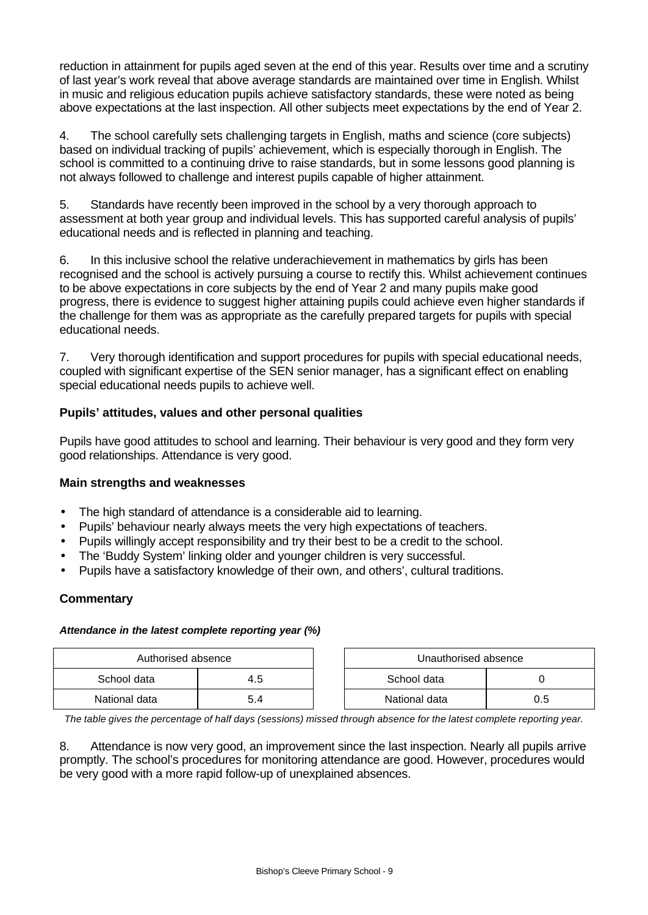reduction in attainment for pupils aged seven at the end of this year. Results over time and a scrutiny of last year's work reveal that above average standards are maintained over time in English. Whilst in music and religious education pupils achieve satisfactory standards, these were noted as being above expectations at the last inspection. All other subjects meet expectations by the end of Year 2.

4. The school carefully sets challenging targets in English, maths and science (core subjects) based on individual tracking of pupils' achievement, which is especially thorough in English. The school is committed to a continuing drive to raise standards, but in some lessons good planning is not always followed to challenge and interest pupils capable of higher attainment.

5. Standards have recently been improved in the school by a very thorough approach to assessment at both year group and individual levels. This has supported careful analysis of pupils' educational needs and is reflected in planning and teaching.

6. In this inclusive school the relative underachievement in mathematics by girls has been recognised and the school is actively pursuing a course to rectify this. Whilst achievement continues to be above expectations in core subjects by the end of Year 2 and many pupils make good progress, there is evidence to suggest higher attaining pupils could achieve even higher standards if the challenge for them was as appropriate as the carefully prepared targets for pupils with special educational needs.

7. Very thorough identification and support procedures for pupils with special educational needs, coupled with significant expertise of the SEN senior manager, has a significant effect on enabling special educational needs pupils to achieve well.

### **Pupils' attitudes, values and other personal qualities**

Pupils have good attitudes to school and learning. Their behaviour is very good and they form very good relationships. Attendance is very good.

#### **Main strengths and weaknesses**

- The high standard of attendance is a considerable aid to learning.
- Pupils' behaviour nearly always meets the very high expectations of teachers.
- Pupils willingly accept responsibility and try their best to be a credit to the school.
- The 'Buddy System' linking older and younger children is very successful.
- Pupils have a satisfactory knowledge of their own, and others', cultural traditions.

#### **Commentary**

#### *Attendance in the latest complete reporting year (%)*

| Authorised absence |     | Unauthorised absence |     |
|--------------------|-----|----------------------|-----|
| School data        | 4.5 | School data          |     |
| National data      |     | National data        | 0.5 |

*The table gives the percentage of half days (sessions) missed through absence for the latest complete reporting year.*

8. Attendance is now very good, an improvement since the last inspection. Nearly all pupils arrive promptly. The school's procedures for monitoring attendance are good. However, procedures would be very good with a more rapid follow-up of unexplained absences.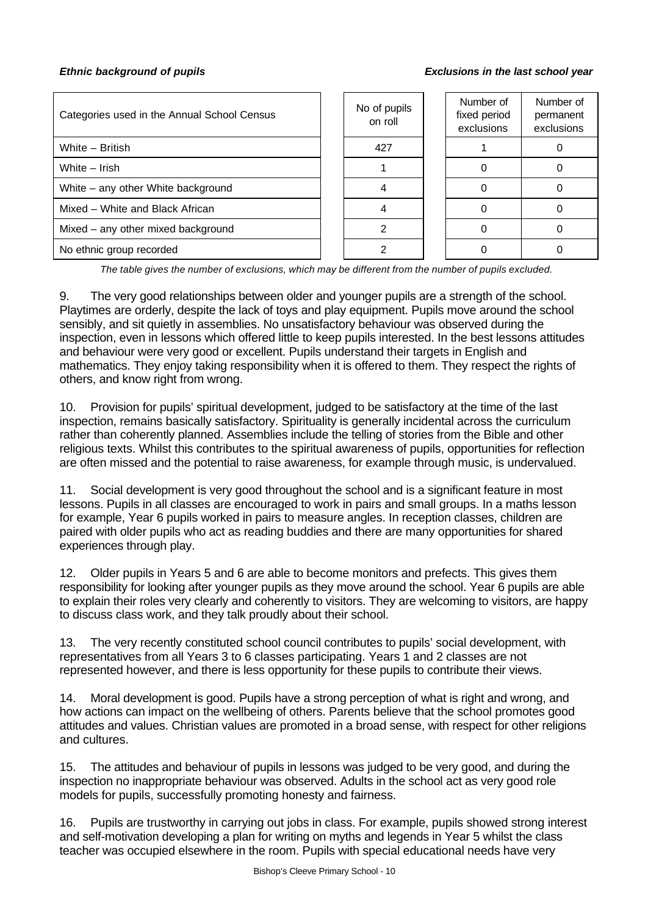#### *Ethnic background of pupils Exclusions in the last school year*

| Categories used in the Annual School Census | No of pupils<br>on roll | Number of<br>fixed period<br>exclusions | Number of<br>permanent<br>exclusions |
|---------------------------------------------|-------------------------|-----------------------------------------|--------------------------------------|
| White - British                             | 427                     |                                         |                                      |
| White - Irish                               |                         |                                         |                                      |
| White – any other White background          |                         |                                         |                                      |
| Mixed – White and Black African             |                         |                                         |                                      |
| Mixed - any other mixed background          |                         |                                         |                                      |
| No ethnic group recorded                    |                         |                                         |                                      |

*The table gives the number of exclusions, which may be different from the number of pupils excluded.*

9. The very good relationships between older and younger pupils are a strength of the school. Playtimes are orderly, despite the lack of toys and play equipment. Pupils move around the school sensibly, and sit quietly in assemblies. No unsatisfactory behaviour was observed during the inspection, even in lessons which offered little to keep pupils interested. In the best lessons attitudes and behaviour were very good or excellent. Pupils understand their targets in English and mathematics. They enjoy taking responsibility when it is offered to them. They respect the rights of others, and know right from wrong.

10. Provision for pupils' spiritual development, judged to be satisfactory at the time of the last inspection, remains basically satisfactory. Spirituality is generally incidental across the curriculum rather than coherently planned. Assemblies include the telling of stories from the Bible and other religious texts. Whilst this contributes to the spiritual awareness of pupils, opportunities for reflection are often missed and the potential to raise awareness, for example through music, is undervalued.

11. Social development is very good throughout the school and is a significant feature in most lessons. Pupils in all classes are encouraged to work in pairs and small groups. In a maths lesson for example, Year 6 pupils worked in pairs to measure angles. In reception classes, children are paired with older pupils who act as reading buddies and there are many opportunities for shared experiences through play.

12. Older pupils in Years 5 and 6 are able to become monitors and prefects. This gives them responsibility for looking after younger pupils as they move around the school. Year 6 pupils are able to explain their roles very clearly and coherently to visitors. They are welcoming to visitors, are happy to discuss class work, and they talk proudly about their school.

13. The very recently constituted school council contributes to pupils' social development, with representatives from all Years 3 to 6 classes participating. Years 1 and 2 classes are not represented however, and there is less opportunity for these pupils to contribute their views.

14. Moral development is good. Pupils have a strong perception of what is right and wrong, and how actions can impact on the wellbeing of others. Parents believe that the school promotes good attitudes and values. Christian values are promoted in a broad sense, with respect for other religions and cultures.

15. The attitudes and behaviour of pupils in lessons was judged to be very good, and during the inspection no inappropriate behaviour was observed. Adults in the school act as very good role models for pupils, successfully promoting honesty and fairness.

16. Pupils are trustworthy in carrying out jobs in class. For example, pupils showed strong interest and self-motivation developing a plan for writing on myths and legends in Year 5 whilst the class teacher was occupied elsewhere in the room. Pupils with special educational needs have very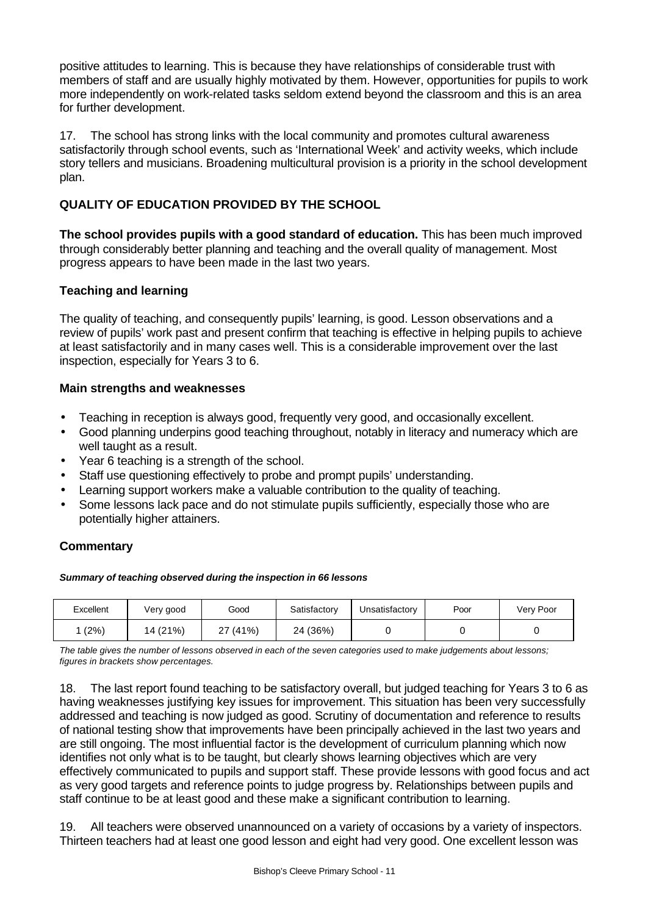positive attitudes to learning. This is because they have relationships of considerable trust with members of staff and are usually highly motivated by them. However, opportunities for pupils to work more independently on work-related tasks seldom extend beyond the classroom and this is an area for further development.

17. The school has strong links with the local community and promotes cultural awareness satisfactorily through school events, such as 'International Week' and activity weeks, which include story tellers and musicians. Broadening multicultural provision is a priority in the school development plan.

# **QUALITY OF EDUCATION PROVIDED BY THE SCHOOL**

**The school provides pupils with a good standard of education.** This has been much improved through considerably better planning and teaching and the overall quality of management. Most progress appears to have been made in the last two years.

### **Teaching and learning**

The quality of teaching, and consequently pupils' learning, is good. Lesson observations and a review of pupils' work past and present confirm that teaching is effective in helping pupils to achieve at least satisfactorily and in many cases well. This is a considerable improvement over the last inspection, especially for Years 3 to 6.

#### **Main strengths and weaknesses**

- Teaching in reception is always good, frequently very good, and occasionally excellent.
- Good planning underpins good teaching throughout, notably in literacy and numeracy which are well taught as a result.
- Year 6 teaching is a strength of the school.
- Staff use questioning effectively to probe and prompt pupils' understanding.
- Learning support workers make a valuable contribution to the quality of teaching.
- Some lessons lack pace and do not stimulate pupils sufficiently, especially those who are potentially higher attainers.

# **Commentary**

*Summary of teaching observed during the inspection in 66 lessons*

| Excellent | Very good | Good     | Satisfactory | Unsatisfactory | Poor | Very Poor |
|-----------|-----------|----------|--------------|----------------|------|-----------|
| (2%)      | 14 (21%)  | 27 (41%) | 24 (36%)     |                |      |           |

*The table gives the number of lessons observed in each of the seven categories used to make judgements about lessons; figures in brackets show percentages.*

18. The last report found teaching to be satisfactory overall, but judged teaching for Years 3 to 6 as having weaknesses justifying key issues for improvement. This situation has been very successfully addressed and teaching is now judged as good. Scrutiny of documentation and reference to results of national testing show that improvements have been principally achieved in the last two years and are still ongoing. The most influential factor is the development of curriculum planning which now identifies not only what is to be taught, but clearly shows learning objectives which are very effectively communicated to pupils and support staff. These provide lessons with good focus and act as very good targets and reference points to judge progress by. Relationships between pupils and staff continue to be at least good and these make a significant contribution to learning.

19. All teachers were observed unannounced on a variety of occasions by a variety of inspectors. Thirteen teachers had at least one good lesson and eight had very good. One excellent lesson was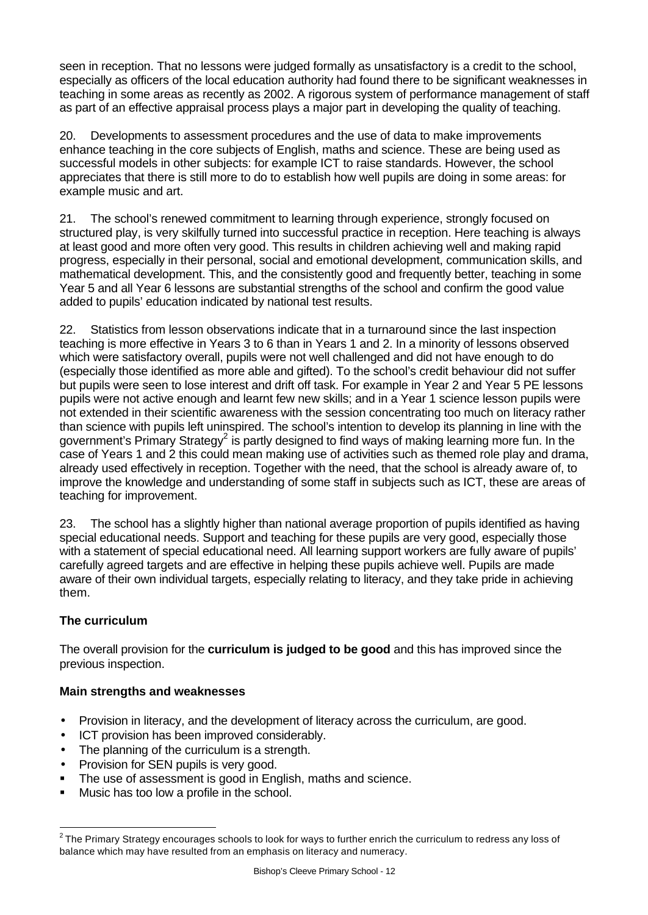seen in reception. That no lessons were judged formally as unsatisfactory is a credit to the school, especially as officers of the local education authority had found there to be significant weaknesses in teaching in some areas as recently as 2002. A rigorous system of performance management of staff as part of an effective appraisal process plays a major part in developing the quality of teaching.

20. Developments to assessment procedures and the use of data to make improvements enhance teaching in the core subjects of English, maths and science. These are being used as successful models in other subjects: for example ICT to raise standards. However, the school appreciates that there is still more to do to establish how well pupils are doing in some areas: for example music and art.

21. The school's renewed commitment to learning through experience, strongly focused on structured play, is very skilfully turned into successful practice in reception. Here teaching is always at least good and more often very good. This results in children achieving well and making rapid progress, especially in their personal, social and emotional development, communication skills, and mathematical development. This, and the consistently good and frequently better, teaching in some Year 5 and all Year 6 lessons are substantial strengths of the school and confirm the good value added to pupils' education indicated by national test results.

22. Statistics from lesson observations indicate that in a turnaround since the last inspection teaching is more effective in Years 3 to 6 than in Years 1 and 2. In a minority of lessons observed which were satisfactory overall, pupils were not well challenged and did not have enough to do (especially those identified as more able and gifted). To the school's credit behaviour did not suffer but pupils were seen to lose interest and drift off task. For example in Year 2 and Year 5 PE lessons pupils were not active enough and learnt few new skills; and in a Year 1 science lesson pupils were not extended in their scientific awareness with the session concentrating too much on literacy rather than science with pupils left uninspired. The school's intention to develop its planning in line with the government's Primary Strategy<sup>2</sup> is partly designed to find ways of making learning more fun. In the case of Years 1 and 2 this could mean making use of activities such as themed role play and drama, already used effectively in reception. Together with the need, that the school is already aware of, to improve the knowledge and understanding of some staff in subjects such as ICT, these are areas of teaching for improvement.

23. The school has a slightly higher than national average proportion of pupils identified as having special educational needs. Support and teaching for these pupils are very good, especially those with a statement of special educational need. All learning support workers are fully aware of pupils' carefully agreed targets and are effective in helping these pupils achieve well. Pupils are made aware of their own individual targets, especially relating to literacy, and they take pride in achieving them.

# **The curriculum**

The overall provision for the **curriculum is judged to be good** and this has improved since the previous inspection.

# **Main strengths and weaknesses**

- Provision in literacy, and the development of literacy across the curriculum, are good.
- ICT provision has been improved considerably.
- The planning of the curriculum is a strength.
- Provision for SEN pupils is very good.
- The use of assessment is good in English, maths and science.
- **Music has too low a profile in the school.**

 2 The Primary Strategy encourages schools to look for ways to further enrich the curriculum to redress any loss of balance which may have resulted from an emphasis on literacy and numeracy.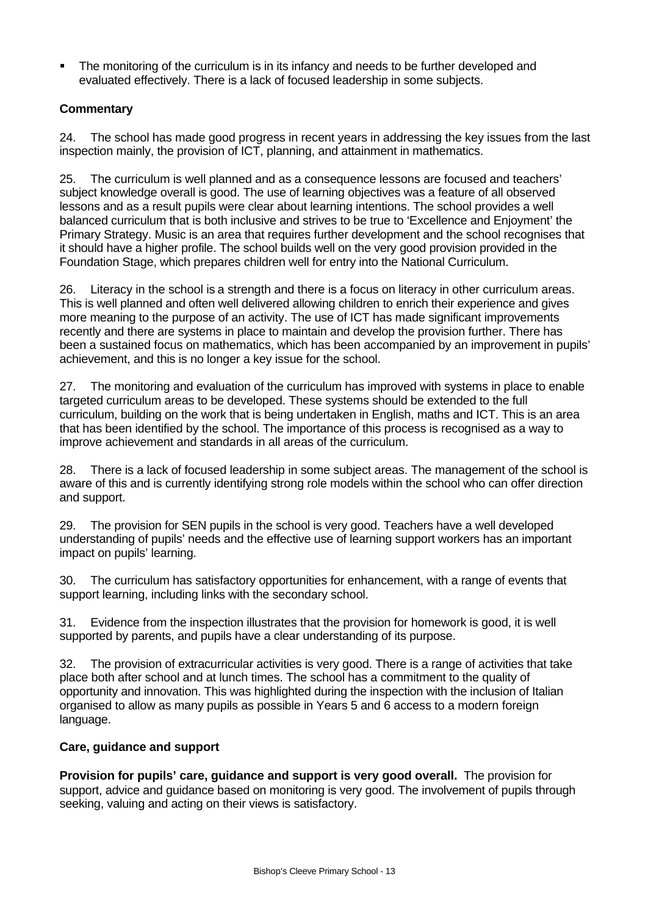ß The monitoring of the curriculum is in its infancy and needs to be further developed and evaluated effectively. There is a lack of focused leadership in some subjects.

# **Commentary**

24. The school has made good progress in recent years in addressing the key issues from the last inspection mainly, the provision of ICT, planning, and attainment in mathematics.

25. The curriculum is well planned and as a consequence lessons are focused and teachers' subject knowledge overall is good. The use of learning objectives was a feature of all observed lessons and as a result pupils were clear about learning intentions. The school provides a well balanced curriculum that is both inclusive and strives to be true to 'Excellence and Enjoyment' the Primary Strategy. Music is an area that requires further development and the school recognises that it should have a higher profile. The school builds well on the very good provision provided in the Foundation Stage, which prepares children well for entry into the National Curriculum.

26. Literacy in the school is a strength and there is a focus on literacy in other curriculum areas. This is well planned and often well delivered allowing children to enrich their experience and gives more meaning to the purpose of an activity. The use of ICT has made significant improvements recently and there are systems in place to maintain and develop the provision further. There has been a sustained focus on mathematics, which has been accompanied by an improvement in pupils' achievement, and this is no longer a key issue for the school.

27. The monitoring and evaluation of the curriculum has improved with systems in place to enable targeted curriculum areas to be developed. These systems should be extended to the full curriculum, building on the work that is being undertaken in English, maths and ICT. This is an area that has been identified by the school. The importance of this process is recognised as a way to improve achievement and standards in all areas of the curriculum.

28. There is a lack of focused leadership in some subject areas. The management of the school is aware of this and is currently identifying strong role models within the school who can offer direction and support.

29. The provision for SEN pupils in the school is very good. Teachers have a well developed understanding of pupils' needs and the effective use of learning support workers has an important impact on pupils' learning.

30. The curriculum has satisfactory opportunities for enhancement, with a range of events that support learning, including links with the secondary school.

31. Evidence from the inspection illustrates that the provision for homework is good, it is well supported by parents, and pupils have a clear understanding of its purpose.

32. The provision of extracurricular activities is very good. There is a range of activities that take place both after school and at lunch times. The school has a commitment to the quality of opportunity and innovation. This was highlighted during the inspection with the inclusion of Italian organised to allow as many pupils as possible in Years 5 and 6 access to a modern foreign language.

# **Care, guidance and support**

**Provision for pupils' care, guidance and support is very good overall.** The provision for support, advice and guidance based on monitoring is very good. The involvement of pupils through seeking, valuing and acting on their views is satisfactory.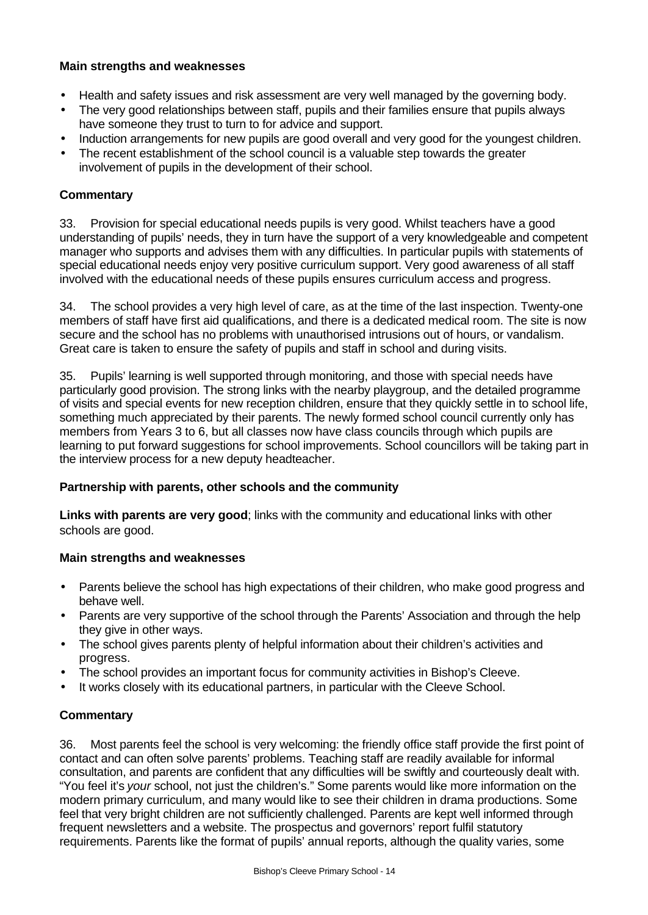#### **Main strengths and weaknesses**

- Health and safety issues and risk assessment are very well managed by the governing body.
- The very good relationships between staff, pupils and their families ensure that pupils always have someone they trust to turn to for advice and support.
- Induction arrangements for new pupils are good overall and very good for the youngest children.
- The recent establishment of the school council is a valuable step towards the greater involvement of pupils in the development of their school.

#### **Commentary**

33. Provision for special educational needs pupils is very good. Whilst teachers have a good understanding of pupils' needs, they in turn have the support of a very knowledgeable and competent manager who supports and advises them with any difficulties. In particular pupils with statements of special educational needs enjoy very positive curriculum support. Very good awareness of all staff involved with the educational needs of these pupils ensures curriculum access and progress.

34. The school provides a very high level of care, as at the time of the last inspection. Twenty-one members of staff have first aid qualifications, and there is a dedicated medical room. The site is now secure and the school has no problems with unauthorised intrusions out of hours, or vandalism. Great care is taken to ensure the safety of pupils and staff in school and during visits.

35. Pupils' learning is well supported through monitoring, and those with special needs have particularly good provision. The strong links with the nearby playgroup, and the detailed programme of visits and special events for new reception children, ensure that they quickly settle in to school life, something much appreciated by their parents. The newly formed school council currently only has members from Years 3 to 6, but all classes now have class councils through which pupils are learning to put forward suggestions for school improvements. School councillors will be taking part in the interview process for a new deputy headteacher.

#### **Partnership with parents, other schools and the community**

**Links with parents are very good**; links with the community and educational links with other schools are good.

# **Main strengths and weaknesses**

- Parents believe the school has high expectations of their children, who make good progress and behave well.
- Parents are very supportive of the school through the Parents' Association and through the help they give in other ways.
- The school gives parents plenty of helpful information about their children's activities and progress.
- The school provides an important focus for community activities in Bishop's Cleeve.
- It works closely with its educational partners, in particular with the Cleeve School.

# **Commentary**

36. Most parents feel the school is very welcoming: the friendly office staff provide the first point of contact and can often solve parents' problems. Teaching staff are readily available for informal consultation, and parents are confident that any difficulties will be swiftly and courteously dealt with. "You feel it's *your* school, not just the children's." Some parents would like more information on the modern primary curriculum, and many would like to see their children in drama productions. Some feel that very bright children are not sufficiently challenged. Parents are kept well informed through frequent newsletters and a website. The prospectus and governors' report fulfil statutory requirements. Parents like the format of pupils' annual reports, although the quality varies, some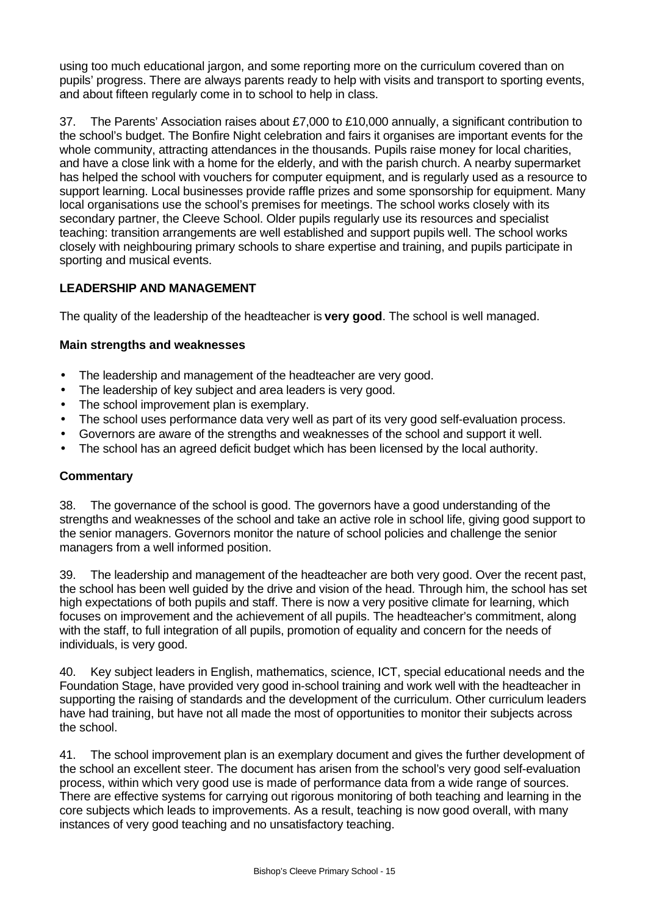using too much educational jargon, and some reporting more on the curriculum covered than on pupils' progress. There are always parents ready to help with visits and transport to sporting events, and about fifteen regularly come in to school to help in class.

37. The Parents' Association raises about £7,000 to £10,000 annually, a significant contribution to the school's budget. The Bonfire Night celebration and fairs it organises are important events for the whole community, attracting attendances in the thousands. Pupils raise money for local charities, and have a close link with a home for the elderly, and with the parish church. A nearby supermarket has helped the school with vouchers for computer equipment, and is regularly used as a resource to support learning. Local businesses provide raffle prizes and some sponsorship for equipment. Many local organisations use the school's premises for meetings. The school works closely with its secondary partner, the Cleeve School. Older pupils regularly use its resources and specialist teaching: transition arrangements are well established and support pupils well. The school works closely with neighbouring primary schools to share expertise and training, and pupils participate in sporting and musical events.

# **LEADERSHIP AND MANAGEMENT**

The quality of the leadership of the headteacher is **very good**. The school is well managed.

### **Main strengths and weaknesses**

- The leadership and management of the headteacher are very good.
- The leadership of key subject and area leaders is very good.
- The school improvement plan is exemplary.
- The school uses performance data very well as part of its very good self-evaluation process.
- Governors are aware of the strengths and weaknesses of the school and support it well.
- The school has an agreed deficit budget which has been licensed by the local authority.

# **Commentary**

38. The governance of the school is good. The governors have a good understanding of the strengths and weaknesses of the school and take an active role in school life, giving good support to the senior managers. Governors monitor the nature of school policies and challenge the senior managers from a well informed position.

39. The leadership and management of the headteacher are both very good. Over the recent past, the school has been well guided by the drive and vision of the head. Through him, the school has set high expectations of both pupils and staff. There is now a very positive climate for learning, which focuses on improvement and the achievement of all pupils. The headteacher's commitment, along with the staff, to full integration of all pupils, promotion of equality and concern for the needs of individuals, is very good.

40. Key subject leaders in English, mathematics, science, ICT, special educational needs and the Foundation Stage, have provided very good in-school training and work well with the headteacher in supporting the raising of standards and the development of the curriculum. Other curriculum leaders have had training, but have not all made the most of opportunities to monitor their subjects across the school.

41. The school improvement plan is an exemplary document and gives the further development of the school an excellent steer. The document has arisen from the school's very good self-evaluation process, within which very good use is made of performance data from a wide range of sources. There are effective systems for carrying out rigorous monitoring of both teaching and learning in the core subjects which leads to improvements. As a result, teaching is now good overall, with many instances of very good teaching and no unsatisfactory teaching.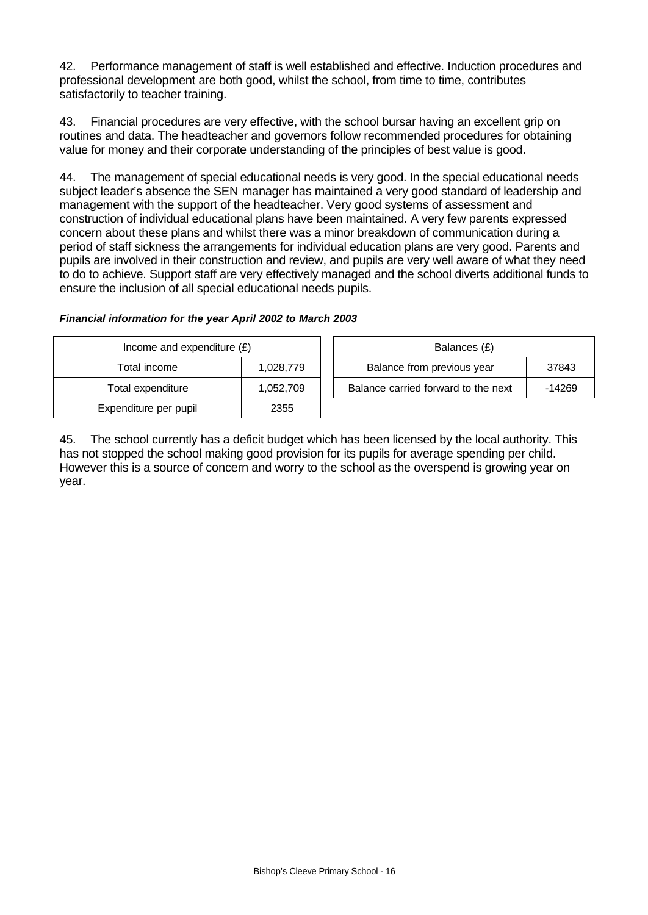42. Performance management of staff is well established and effective. Induction procedures and professional development are both good, whilst the school, from time to time, contributes satisfactorily to teacher training.

43. Financial procedures are very effective, with the school bursar having an excellent grip on routines and data. The headteacher and governors follow recommended procedures for obtaining value for money and their corporate understanding of the principles of best value is good.

44. The management of special educational needs is very good. In the special educational needs subject leader's absence the SEN manager has maintained a very good standard of leadership and management with the support of the headteacher. Very good systems of assessment and construction of individual educational plans have been maintained. A very few parents expressed concern about these plans and whilst there was a minor breakdown of communication during a period of staff sickness the arrangements for individual education plans are very good. Parents and pupils are involved in their construction and review, and pupils are very well aware of what they need to do to achieve. Support staff are very effectively managed and the school diverts additional funds to ensure the inclusion of all special educational needs pupils.

#### *Financial information for the year April 2002 to March 2003*

| Income and expenditure $(E)$ |           | Balances (£)                        |        |  |
|------------------------------|-----------|-------------------------------------|--------|--|
| Total income                 | 1,028,779 | Balance from previous year          | 37843  |  |
| Total expenditure            | 1,052,709 | Balance carried forward to the next | -14269 |  |
| Expenditure per pupil        | 2355      |                                     |        |  |

45. The school currently has a deficit budget which has been licensed by the local authority. This has not stopped the school making good provision for its pupils for average spending per child. However this is a source of concern and worry to the school as the overspend is growing year on year.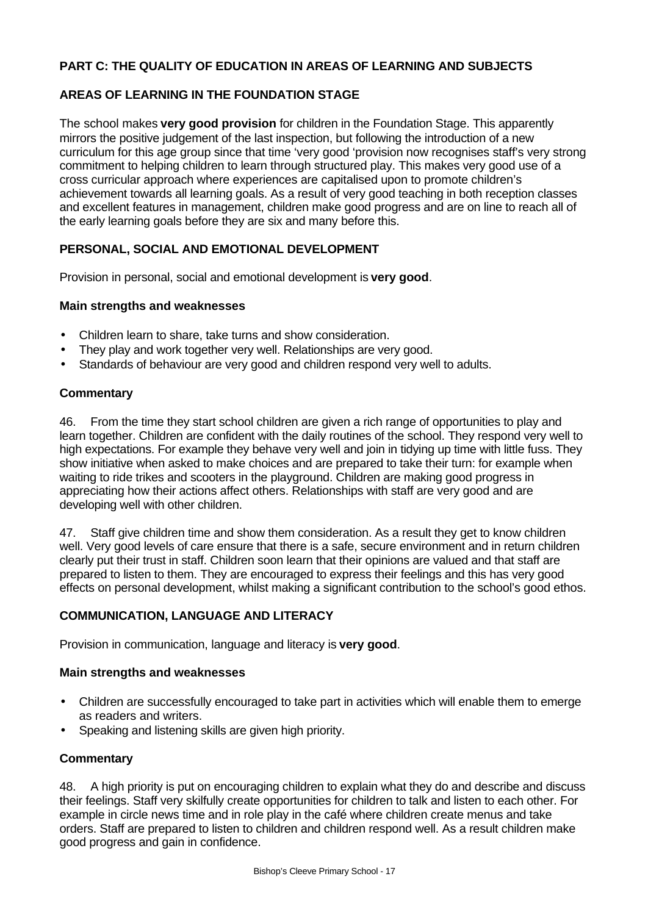# **PART C: THE QUALITY OF EDUCATION IN AREAS OF LEARNING AND SUBJECTS**

#### **AREAS OF LEARNING IN THE FOUNDATION STAGE**

The school makes **very good provision** for children in the Foundation Stage. This apparently mirrors the positive judgement of the last inspection, but following the introduction of a new curriculum for this age group since that time 'very good 'provision now recognises staff's very strong commitment to helping children to learn through structured play. This makes very good use of a cross curricular approach where experiences are capitalised upon to promote children's achievement towards all learning goals. As a result of very good teaching in both reception classes and excellent features in management, children make good progress and are on line to reach all of the early learning goals before they are six and many before this.

### **PERSONAL, SOCIAL AND EMOTIONAL DEVELOPMENT**

Provision in personal, social and emotional development is **very good**.

### **Main strengths and weaknesses**

- Children learn to share, take turns and show consideration.
- They play and work together very well. Relationships are very good.
- Standards of behaviour are very good and children respond very well to adults.

#### **Commentary**

46. From the time they start school children are given a rich range of opportunities to play and learn together. Children are confident with the daily routines of the school. They respond very well to high expectations. For example they behave very well and join in tidying up time with little fuss. They show initiative when asked to make choices and are prepared to take their turn: for example when waiting to ride trikes and scooters in the playground. Children are making good progress in appreciating how their actions affect others. Relationships with staff are very good and are developing well with other children.

47. Staff give children time and show them consideration. As a result they get to know children well. Very good levels of care ensure that there is a safe, secure environment and in return children clearly put their trust in staff. Children soon learn that their opinions are valued and that staff are prepared to listen to them. They are encouraged to express their feelings and this has very good effects on personal development, whilst making a significant contribution to the school's good ethos.

#### **COMMUNICATION, LANGUAGE AND LITERACY**

Provision in communication, language and literacy is **very good**.

#### **Main strengths and weaknesses**

- Children are successfully encouraged to take part in activities which will enable them to emerge as readers and writers.
- Speaking and listening skills are given high priority.

#### **Commentary**

48. A high priority is put on encouraging children to explain what they do and describe and discuss their feelings. Staff very skilfully create opportunities for children to talk and listen to each other. For example in circle news time and in role play in the café where children create menus and take orders. Staff are prepared to listen to children and children respond well. As a result children make good progress and gain in confidence.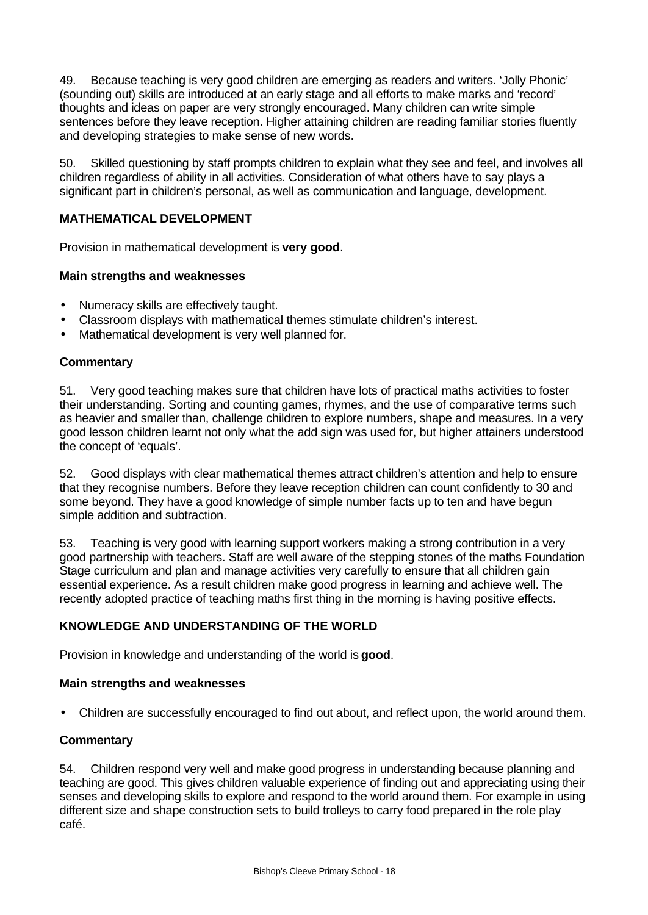49. Because teaching is very good children are emerging as readers and writers. 'Jolly Phonic' (sounding out) skills are introduced at an early stage and all efforts to make marks and 'record' thoughts and ideas on paper are very strongly encouraged. Many children can write simple sentences before they leave reception. Higher attaining children are reading familiar stories fluently and developing strategies to make sense of new words.

50. Skilled questioning by staff prompts children to explain what they see and feel, and involves all children regardless of ability in all activities. Consideration of what others have to say plays a significant part in children's personal, as well as communication and language, development.

# **MATHEMATICAL DEVELOPMENT**

Provision in mathematical development is **very good**.

#### **Main strengths and weaknesses**

- Numeracy skills are effectively taught.
- Classroom displays with mathematical themes stimulate children's interest.
- Mathematical development is very well planned for.

#### **Commentary**

51. Very good teaching makes sure that children have lots of practical maths activities to foster their understanding. Sorting and counting games, rhymes, and the use of comparative terms such as heavier and smaller than, challenge children to explore numbers, shape and measures. In a very good lesson children learnt not only what the add sign was used for, but higher attainers understood the concept of 'equals'.

52. Good displays with clear mathematical themes attract children's attention and help to ensure that they recognise numbers. Before they leave reception children can count confidently to 30 and some beyond. They have a good knowledge of simple number facts up to ten and have begun simple addition and subtraction.

53. Teaching is very good with learning support workers making a strong contribution in a very good partnership with teachers. Staff are well aware of the stepping stones of the maths Foundation Stage curriculum and plan and manage activities very carefully to ensure that all children gain essential experience. As a result children make good progress in learning and achieve well. The recently adopted practice of teaching maths first thing in the morning is having positive effects.

#### **KNOWLEDGE AND UNDERSTANDING OF THE WORLD**

Provision in knowledge and understanding of the world is **good**.

#### **Main strengths and weaknesses**

• Children are successfully encouraged to find out about, and reflect upon, the world around them.

#### **Commentary**

54. Children respond very well and make good progress in understanding because planning and teaching are good. This gives children valuable experience of finding out and appreciating using their senses and developing skills to explore and respond to the world around them. For example in using different size and shape construction sets to build trolleys to carry food prepared in the role play café.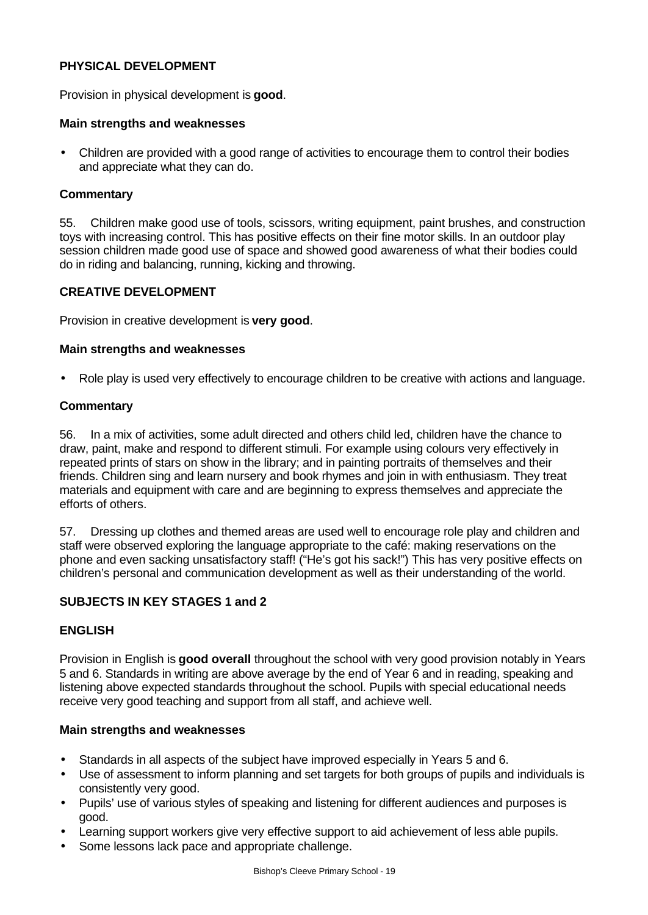### **PHYSICAL DEVELOPMENT**

Provision in physical development is **good**.

#### **Main strengths and weaknesses**

• Children are provided with a good range of activities to encourage them to control their bodies and appreciate what they can do.

#### **Commentary**

55. Children make good use of tools, scissors, writing equipment, paint brushes, and construction toys with increasing control. This has positive effects on their fine motor skills. In an outdoor play session children made good use of space and showed good awareness of what their bodies could do in riding and balancing, running, kicking and throwing.

#### **CREATIVE DEVELOPMENT**

Provision in creative development is **very good**.

#### **Main strengths and weaknesses**

• Role play is used very effectively to encourage children to be creative with actions and language.

#### **Commentary**

56. In a mix of activities, some adult directed and others child led, children have the chance to draw, paint, make and respond to different stimuli. For example using colours very effectively in repeated prints of stars on show in the library; and in painting portraits of themselves and their friends. Children sing and learn nursery and book rhymes and join in with enthusiasm. They treat materials and equipment with care and are beginning to express themselves and appreciate the efforts of others.

57. Dressing up clothes and themed areas are used well to encourage role play and children and staff were observed exploring the language appropriate to the café: making reservations on the phone and even sacking unsatisfactory staff! ("He's got his sack!") This has very positive effects on children's personal and communication development as well as their understanding of the world.

### **SUBJECTS IN KEY STAGES 1 and 2**

#### **ENGLISH**

Provision in English is **good overall** throughout the school with very good provision notably in Years 5 and 6. Standards in writing are above average by the end of Year 6 and in reading, speaking and listening above expected standards throughout the school. Pupils with special educational needs receive very good teaching and support from all staff, and achieve well.

#### **Main strengths and weaknesses**

- Standards in all aspects of the subject have improved especially in Years 5 and 6.
- Use of assessment to inform planning and set targets for both groups of pupils and individuals is consistently very good.
- Pupils' use of various styles of speaking and listening for different audiences and purposes is good.
- Learning support workers give very effective support to aid achievement of less able pupils.
- Some lessons lack pace and appropriate challenge.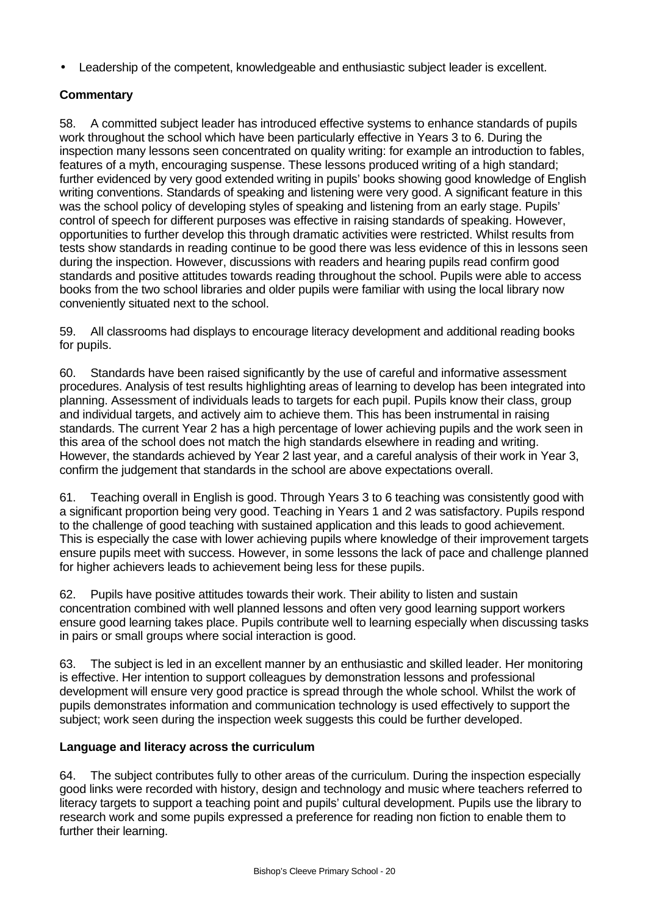• Leadership of the competent, knowledgeable and enthusiastic subject leader is excellent.

# **Commentary**

58. A committed subject leader has introduced effective systems to enhance standards of pupils work throughout the school which have been particularly effective in Years 3 to 6. During the inspection many lessons seen concentrated on quality writing: for example an introduction to fables, features of a myth, encouraging suspense. These lessons produced writing of a high standard; further evidenced by very good extended writing in pupils' books showing good knowledge of English writing conventions. Standards of speaking and listening were very good. A significant feature in this was the school policy of developing styles of speaking and listening from an early stage. Pupils' control of speech for different purposes was effective in raising standards of speaking. However, opportunities to further develop this through dramatic activities were restricted. Whilst results from tests show standards in reading continue to be good there was less evidence of this in lessons seen during the inspection. However, discussions with readers and hearing pupils read confirm good standards and positive attitudes towards reading throughout the school. Pupils were able to access books from the two school libraries and older pupils were familiar with using the local library now conveniently situated next to the school.

59. All classrooms had displays to encourage literacy development and additional reading books for pupils.

60. Standards have been raised significantly by the use of careful and informative assessment procedures. Analysis of test results highlighting areas of learning to develop has been integrated into planning. Assessment of individuals leads to targets for each pupil. Pupils know their class, group and individual targets, and actively aim to achieve them. This has been instrumental in raising standards. The current Year 2 has a high percentage of lower achieving pupils and the work seen in this area of the school does not match the high standards elsewhere in reading and writing. However, the standards achieved by Year 2 last year, and a careful analysis of their work in Year 3, confirm the judgement that standards in the school are above expectations overall.

61. Teaching overall in English is good. Through Years 3 to 6 teaching was consistently good with a significant proportion being very good. Teaching in Years 1 and 2 was satisfactory. Pupils respond to the challenge of good teaching with sustained application and this leads to good achievement. This is especially the case with lower achieving pupils where knowledge of their improvement targets ensure pupils meet with success. However, in some lessons the lack of pace and challenge planned for higher achievers leads to achievement being less for these pupils.

62. Pupils have positive attitudes towards their work. Their ability to listen and sustain concentration combined with well planned lessons and often very good learning support workers ensure good learning takes place. Pupils contribute well to learning especially when discussing tasks in pairs or small groups where social interaction is good.

63. The subject is led in an excellent manner by an enthusiastic and skilled leader. Her monitoring is effective. Her intention to support colleagues by demonstration lessons and professional development will ensure very good practice is spread through the whole school. Whilst the work of pupils demonstrates information and communication technology is used effectively to support the subject; work seen during the inspection week suggests this could be further developed.

# **Language and literacy across the curriculum**

64. The subject contributes fully to other areas of the curriculum. During the inspection especially good links were recorded with history, design and technology and music where teachers referred to literacy targets to support a teaching point and pupils' cultural development. Pupils use the library to research work and some pupils expressed a preference for reading non fiction to enable them to further their learning.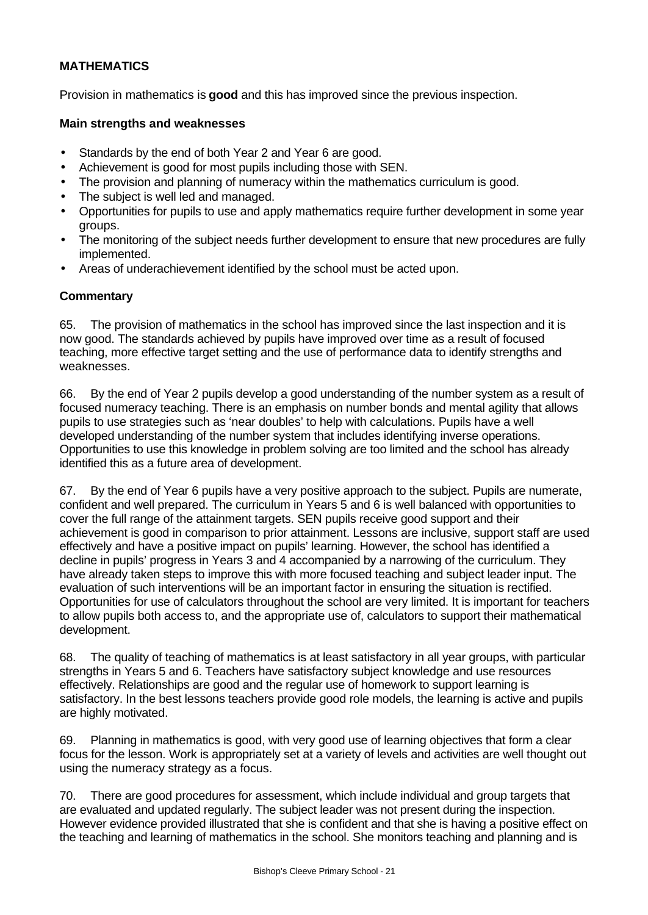# **MATHEMATICS**

Provision in mathematics is **good** and this has improved since the previous inspection.

#### **Main strengths and weaknesses**

- Standards by the end of both Year 2 and Year 6 are good.
- Achievement is good for most pupils including those with SEN.
- The provision and planning of numeracy within the mathematics curriculum is good.
- The subject is well led and managed.
- Opportunities for pupils to use and apply mathematics require further development in some year groups.
- The monitoring of the subject needs further development to ensure that new procedures are fully implemented.
- Areas of underachievement identified by the school must be acted upon.

### **Commentary**

65. The provision of mathematics in the school has improved since the last inspection and it is now good. The standards achieved by pupils have improved over time as a result of focused teaching, more effective target setting and the use of performance data to identify strengths and weaknesses.

66. By the end of Year 2 pupils develop a good understanding of the number system as a result of focused numeracy teaching. There is an emphasis on number bonds and mental agility that allows pupils to use strategies such as 'near doubles' to help with calculations. Pupils have a well developed understanding of the number system that includes identifying inverse operations. Opportunities to use this knowledge in problem solving are too limited and the school has already identified this as a future area of development.

67. By the end of Year 6 pupils have a very positive approach to the subject. Pupils are numerate, confident and well prepared. The curriculum in Years 5 and 6 is well balanced with opportunities to cover the full range of the attainment targets. SEN pupils receive good support and their achievement is good in comparison to prior attainment. Lessons are inclusive, support staff are used effectively and have a positive impact on pupils' learning. However, the school has identified a decline in pupils' progress in Years 3 and 4 accompanied by a narrowing of the curriculum. They have already taken steps to improve this with more focused teaching and subject leader input. The evaluation of such interventions will be an important factor in ensuring the situation is rectified. Opportunities for use of calculators throughout the school are very limited. It is important for teachers to allow pupils both access to, and the appropriate use of, calculators to support their mathematical development.

68. The quality of teaching of mathematics is at least satisfactory in all year groups, with particular strengths in Years 5 and 6. Teachers have satisfactory subject knowledge and use resources effectively. Relationships are good and the regular use of homework to support learning is satisfactory. In the best lessons teachers provide good role models, the learning is active and pupils are highly motivated.

69. Planning in mathematics is good, with very good use of learning objectives that form a clear focus for the lesson. Work is appropriately set at a variety of levels and activities are well thought out using the numeracy strategy as a focus.

70. There are good procedures for assessment, which include individual and group targets that are evaluated and updated regularly. The subject leader was not present during the inspection. However evidence provided illustrated that she is confident and that she is having a positive effect on the teaching and learning of mathematics in the school. She monitors teaching and planning and is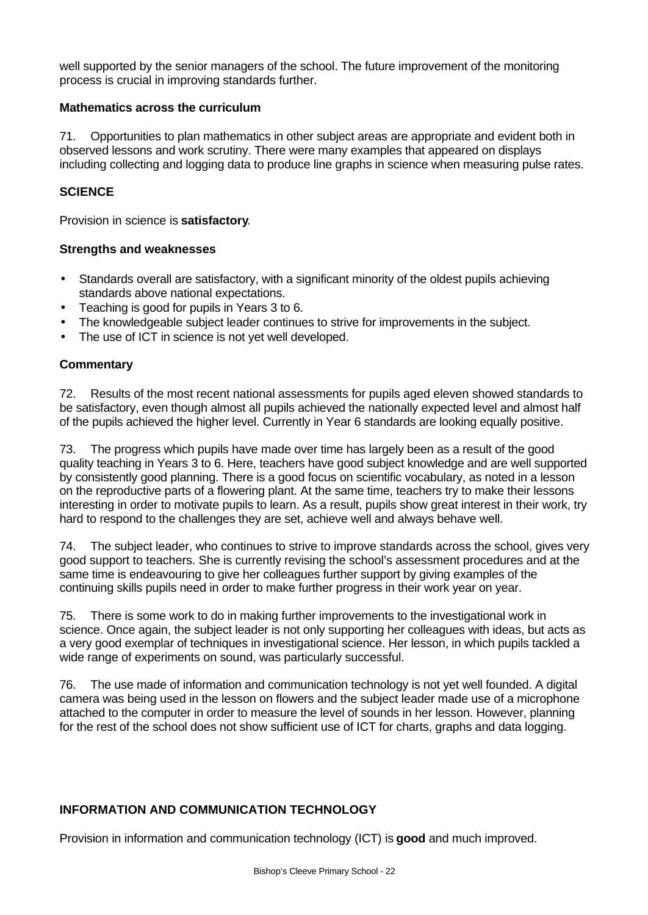well supported by the senior managers of the school. The future improvement of the monitoring process is crucial in improving standards further.

#### **Mathematics across the curriculum**

71. Opportunities to plan mathematics in other subject areas are appropriate and evident both in observed lessons and work scrutiny. There were many examples that appeared on displays including collecting and logging data to produce line graphs in science when measuring pulse rates.

# **SCIENCE**

Provision in science is **satisfactory**.

### **Strengths and weaknesses**

- Standards overall are satisfactory, with a significant minority of the oldest pupils achieving standards above national expectations.
- Teaching is good for pupils in Years 3 to 6.
- The knowledgeable subject leader continues to strive for improvements in the subject.
- The use of ICT in science is not yet well developed.

### **Commentary**

72. Results of the most recent national assessments for pupils aged eleven showed standards to be satisfactory, even though almost all pupils achieved the nationally expected level and almost half of the pupils achieved the higher level. Currently in Year 6 standards are looking equally positive.

73. The progress which pupils have made over time has largely been as a result of the good quality teaching in Years 3 to 6. Here, teachers have good subject knowledge and are well supported by consistently good planning. There is a good focus on scientific vocabulary, as noted in a lesson on the reproductive parts of a flowering plant. At the same time, teachers try to make their lessons interesting in order to motivate pupils to learn. As a result, pupils show great interest in their work, try hard to respond to the challenges they are set, achieve well and always behave well.

74. The subject leader, who continues to strive to improve standards across the school, gives very good support to teachers. She is currently revising the school's assessment procedures and at the same time is endeavouring to give her colleagues further support by giving examples of the continuing skills pupils need in order to make further progress in their work year on year.

75. There is some work to do in making further improvements to the investigational work in science. Once again, the subject leader is not only supporting her colleagues with ideas, but acts as a very good exemplar of techniques in investigational science. Her lesson, in which pupils tackled a wide range of experiments on sound, was particularly successful.

76. The use made of information and communication technology is not yet well founded. A digital camera was being used in the lesson on flowers and the subject leader made use of a microphone attached to the computer in order to measure the level of sounds in her lesson. However, planning for the rest of the school does not show sufficient use of ICT for charts, graphs and data logging.

# **INFORMATION AND COMMUNICATION TECHNOLOGY**

Provision in information and communication technology (ICT) is **good** and much improved.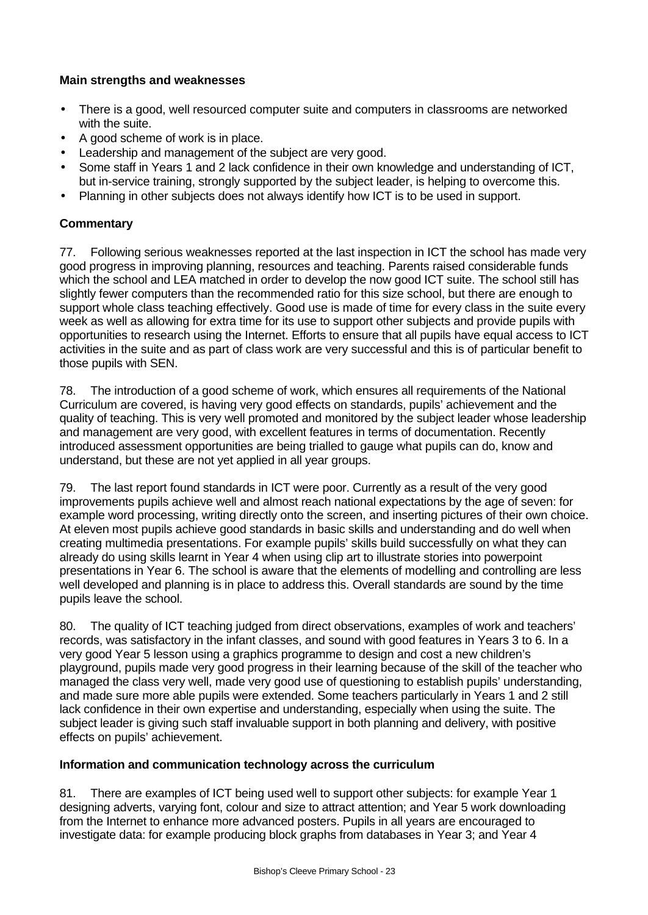# **Main strengths and weaknesses**

- There is a good, well resourced computer suite and computers in classrooms are networked with the suite.
- A good scheme of work is in place.
- Leadership and management of the subject are very good.
- Some staff in Years 1 and 2 lack confidence in their own knowledge and understanding of ICT, but in-service training, strongly supported by the subject leader, is helping to overcome this.
- Planning in other subjects does not always identify how ICT is to be used in support.

# **Commentary**

77. Following serious weaknesses reported at the last inspection in ICT the school has made very good progress in improving planning, resources and teaching. Parents raised considerable funds which the school and LEA matched in order to develop the now good ICT suite. The school still has slightly fewer computers than the recommended ratio for this size school, but there are enough to support whole class teaching effectively. Good use is made of time for every class in the suite every week as well as allowing for extra time for its use to support other subjects and provide pupils with opportunities to research using the Internet. Efforts to ensure that all pupils have equal access to ICT activities in the suite and as part of class work are very successful and this is of particular benefit to those pupils with SEN.

78. The introduction of a good scheme of work, which ensures all requirements of the National Curriculum are covered, is having very good effects on standards, pupils' achievement and the quality of teaching. This is very well promoted and monitored by the subject leader whose leadership and management are very good, with excellent features in terms of documentation. Recently introduced assessment opportunities are being trialled to gauge what pupils can do, know and understand, but these are not yet applied in all year groups.

79. The last report found standards in ICT were poor. Currently as a result of the very good improvements pupils achieve well and almost reach national expectations by the age of seven: for example word processing, writing directly onto the screen, and inserting pictures of their own choice. At eleven most pupils achieve good standards in basic skills and understanding and do well when creating multimedia presentations. For example pupils' skills build successfully on what they can already do using skills learnt in Year 4 when using clip art to illustrate stories into powerpoint presentations in Year 6. The school is aware that the elements of modelling and controlling are less well developed and planning is in place to address this. Overall standards are sound by the time pupils leave the school.

80. The quality of ICT teaching judged from direct observations, examples of work and teachers' records, was satisfactory in the infant classes, and sound with good features in Years 3 to 6. In a very good Year 5 lesson using a graphics programme to design and cost a new children's playground, pupils made very good progress in their learning because of the skill of the teacher who managed the class very well, made very good use of questioning to establish pupils' understanding, and made sure more able pupils were extended. Some teachers particularly in Years 1 and 2 still lack confidence in their own expertise and understanding, especially when using the suite. The subject leader is giving such staff invaluable support in both planning and delivery, with positive effects on pupils' achievement.

# **Information and communication technology across the curriculum**

81. There are examples of ICT being used well to support other subjects: for example Year 1 designing adverts, varying font, colour and size to attract attention; and Year 5 work downloading from the Internet to enhance more advanced posters. Pupils in all years are encouraged to investigate data: for example producing block graphs from databases in Year 3; and Year 4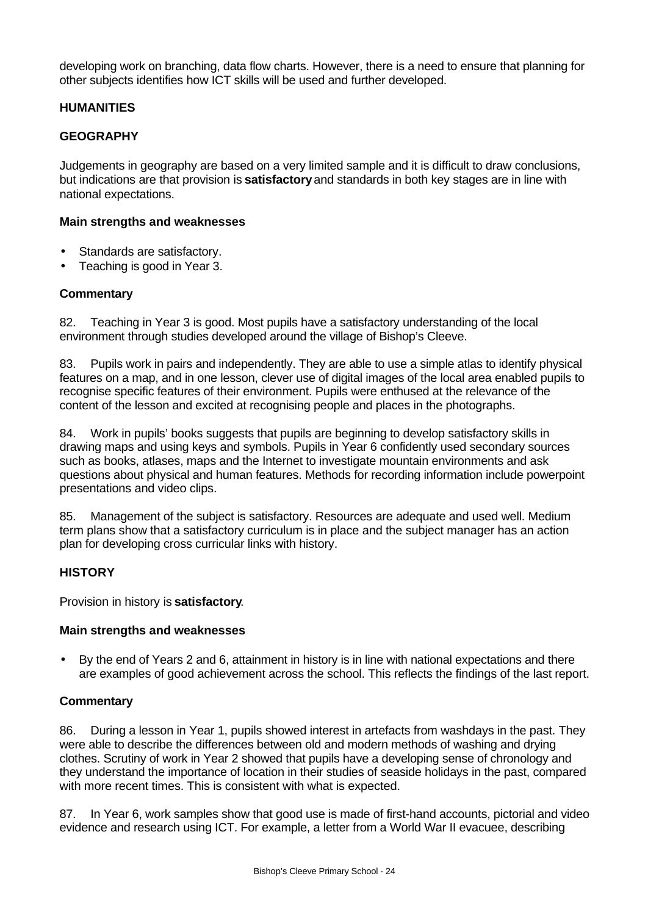developing work on branching, data flow charts. However, there is a need to ensure that planning for other subjects identifies how ICT skills will be used and further developed.

### **HUMANITIES**

#### **GEOGRAPHY**

Judgements in geography are based on a very limited sample and it is difficult to draw conclusions, but indications are that provision is **satisfactory** and standards in both key stages are in line with national expectations.

#### **Main strengths and weaknesses**

- Standards are satisfactory.
- Teaching is good in Year 3.

#### **Commentary**

82. Teaching in Year 3 is good. Most pupils have a satisfactory understanding of the local environment through studies developed around the village of Bishop's Cleeve.

83. Pupils work in pairs and independently. They are able to use a simple atlas to identify physical features on a map, and in one lesson, clever use of digital images of the local area enabled pupils to recognise specific features of their environment. Pupils were enthused at the relevance of the content of the lesson and excited at recognising people and places in the photographs.

84. Work in pupils' books suggests that pupils are beginning to develop satisfactory skills in drawing maps and using keys and symbols. Pupils in Year 6 confidently used secondary sources such as books, atlases, maps and the Internet to investigate mountain environments and ask questions about physical and human features. Methods for recording information include powerpoint presentations and video clips.

85. Management of the subject is satisfactory. Resources are adequate and used well. Medium term plans show that a satisfactory curriculum is in place and the subject manager has an action plan for developing cross curricular links with history.

#### **HISTORY**

Provision in history is **satisfactory**.

#### **Main strengths and weaknesses**

• By the end of Years 2 and 6, attainment in history is in line with national expectations and there are examples of good achievement across the school. This reflects the findings of the last report.

#### **Commentary**

86. During a lesson in Year 1, pupils showed interest in artefacts from washdays in the past. They were able to describe the differences between old and modern methods of washing and drying clothes. Scrutiny of work in Year 2 showed that pupils have a developing sense of chronology and they understand the importance of location in their studies of seaside holidays in the past, compared with more recent times. This is consistent with what is expected.

87. In Year 6, work samples show that good use is made of first-hand accounts, pictorial and video evidence and research using ICT. For example, a letter from a World War II evacuee, describing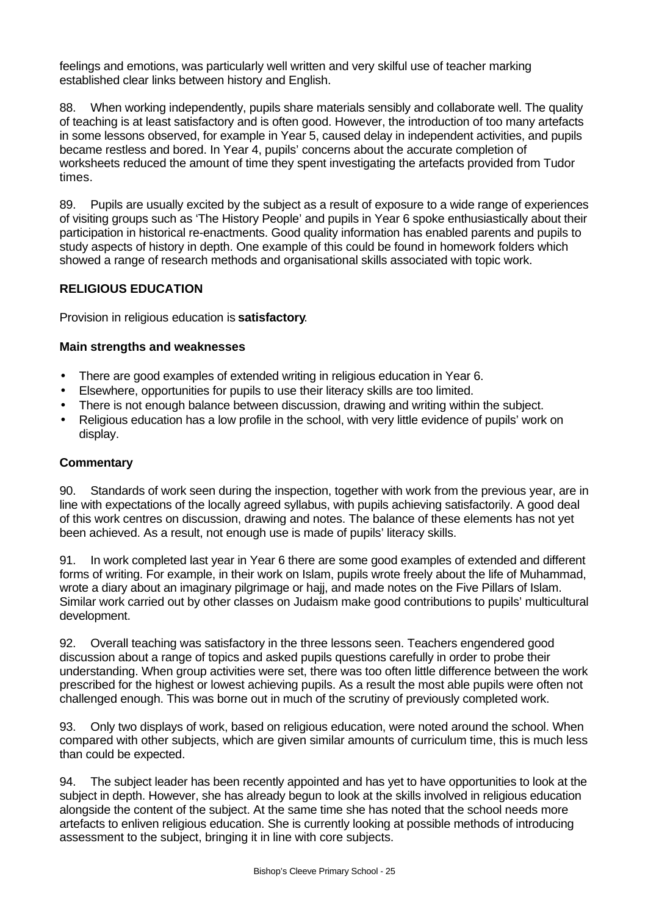feelings and emotions, was particularly well written and very skilful use of teacher marking established clear links between history and English.

88. When working independently, pupils share materials sensibly and collaborate well. The quality of teaching is at least satisfactory and is often good. However, the introduction of too many artefacts in some lessons observed, for example in Year 5, caused delay in independent activities, and pupils became restless and bored. In Year 4, pupils' concerns about the accurate completion of worksheets reduced the amount of time they spent investigating the artefacts provided from Tudor times.

89. Pupils are usually excited by the subject as a result of exposure to a wide range of experiences of visiting groups such as 'The History People' and pupils in Year 6 spoke enthusiastically about their participation in historical re-enactments. Good quality information has enabled parents and pupils to study aspects of history in depth. One example of this could be found in homework folders which showed a range of research methods and organisational skills associated with topic work.

### **RELIGIOUS EDUCATION**

Provision in religious education is **satisfactory**.

### **Main strengths and weaknesses**

- There are good examples of extended writing in religious education in Year 6.
- Elsewhere, opportunities for pupils to use their literacy skills are too limited.
- There is not enough balance between discussion, drawing and writing within the subject.
- Religious education has a low profile in the school, with very little evidence of pupils' work on display.

#### **Commentary**

90. Standards of work seen during the inspection, together with work from the previous year, are in line with expectations of the locally agreed syllabus, with pupils achieving satisfactorily. A good deal of this work centres on discussion, drawing and notes. The balance of these elements has not yet been achieved. As a result, not enough use is made of pupils' literacy skills.

91. In work completed last year in Year 6 there are some good examples of extended and different forms of writing. For example, in their work on Islam, pupils wrote freely about the life of Muhammad, wrote a diary about an imaginary pilgrimage or hajj, and made notes on the Five Pillars of Islam. Similar work carried out by other classes on Judaism make good contributions to pupils' multicultural development.

92. Overall teaching was satisfactory in the three lessons seen. Teachers engendered good discussion about a range of topics and asked pupils questions carefully in order to probe their understanding. When group activities were set, there was too often little difference between the work prescribed for the highest or lowest achieving pupils. As a result the most able pupils were often not challenged enough. This was borne out in much of the scrutiny of previously completed work.

93. Only two displays of work, based on religious education, were noted around the school. When compared with other subjects, which are given similar amounts of curriculum time, this is much less than could be expected.

94. The subject leader has been recently appointed and has yet to have opportunities to look at the subject in depth. However, she has already begun to look at the skills involved in religious education alongside the content of the subject. At the same time she has noted that the school needs more artefacts to enliven religious education. She is currently looking at possible methods of introducing assessment to the subject, bringing it in line with core subjects.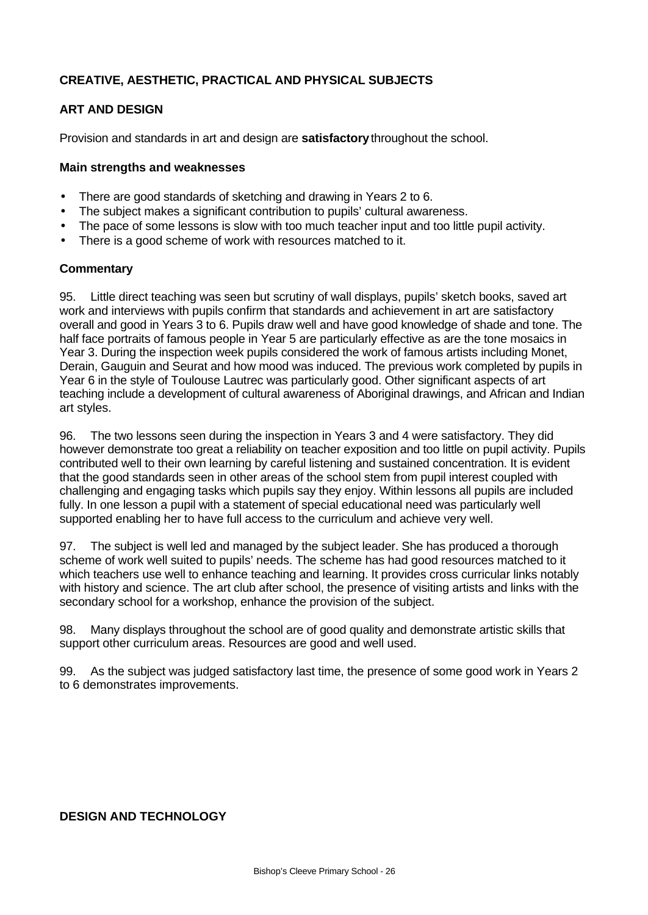# **CREATIVE, AESTHETIC, PRACTICAL AND PHYSICAL SUBJECTS**

# **ART AND DESIGN**

Provision and standards in art and design are **satisfactory** throughout the school.

#### **Main strengths and weaknesses**

- There are good standards of sketching and drawing in Years 2 to 6.
- The subject makes a significant contribution to pupils' cultural awareness.
- The pace of some lessons is slow with too much teacher input and too little pupil activity.
- There is a good scheme of work with resources matched to it.

#### **Commentary**

95. Little direct teaching was seen but scrutiny of wall displays, pupils' sketch books, saved art work and interviews with pupils confirm that standards and achievement in art are satisfactory overall and good in Years 3 to 6. Pupils draw well and have good knowledge of shade and tone. The half face portraits of famous people in Year 5 are particularly effective as are the tone mosaics in Year 3. During the inspection week pupils considered the work of famous artists including Monet, Derain, Gauguin and Seurat and how mood was induced. The previous work completed by pupils in Year 6 in the style of Toulouse Lautrec was particularly good. Other significant aspects of art teaching include a development of cultural awareness of Aboriginal drawings, and African and Indian art styles.

96. The two lessons seen during the inspection in Years 3 and 4 were satisfactory. They did however demonstrate too great a reliability on teacher exposition and too little on pupil activity. Pupils contributed well to their own learning by careful listening and sustained concentration. It is evident that the good standards seen in other areas of the school stem from pupil interest coupled with challenging and engaging tasks which pupils say they enjoy. Within lessons all pupils are included fully. In one lesson a pupil with a statement of special educational need was particularly well supported enabling her to have full access to the curriculum and achieve very well.

97. The subject is well led and managed by the subject leader. She has produced a thorough scheme of work well suited to pupils' needs. The scheme has had good resources matched to it which teachers use well to enhance teaching and learning. It provides cross curricular links notably with history and science. The art club after school, the presence of visiting artists and links with the secondary school for a workshop, enhance the provision of the subject.

98. Many displays throughout the school are of good quality and demonstrate artistic skills that support other curriculum areas. Resources are good and well used.

99. As the subject was judged satisfactory last time, the presence of some good work in Years 2 to 6 demonstrates improvements.

# **DESIGN AND TECHNOLOGY**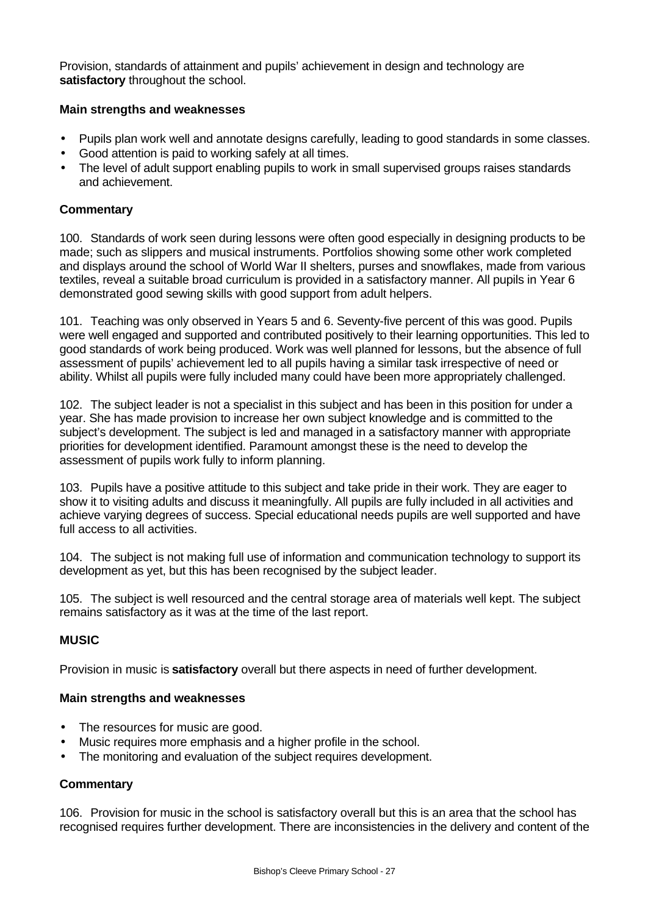Provision, standards of attainment and pupils' achievement in design and technology are **satisfactory** throughout the school.

### **Main strengths and weaknesses**

- Pupils plan work well and annotate designs carefully, leading to good standards in some classes.
- Good attention is paid to working safely at all times.
- The level of adult support enabling pupils to work in small supervised groups raises standards and achievement.

#### **Commentary**

100. Standards of work seen during lessons were often good especially in designing products to be made; such as slippers and musical instruments. Portfolios showing some other work completed and displays around the school of World War II shelters, purses and snowflakes, made from various textiles, reveal a suitable broad curriculum is provided in a satisfactory manner. All pupils in Year 6 demonstrated good sewing skills with good support from adult helpers.

101. Teaching was only observed in Years 5 and 6. Seventy-five percent of this was good. Pupils were well engaged and supported and contributed positively to their learning opportunities. This led to good standards of work being produced. Work was well planned for lessons, but the absence of full assessment of pupils' achievement led to all pupils having a similar task irrespective of need or ability. Whilst all pupils were fully included many could have been more appropriately challenged.

102. The subject leader is not a specialist in this subject and has been in this position for under a year. She has made provision to increase her own subject knowledge and is committed to the subject's development. The subject is led and managed in a satisfactory manner with appropriate priorities for development identified. Paramount amongst these is the need to develop the assessment of pupils work fully to inform planning.

103. Pupils have a positive attitude to this subject and take pride in their work. They are eager to show it to visiting adults and discuss it meaningfully. All pupils are fully included in all activities and achieve varying degrees of success. Special educational needs pupils are well supported and have full access to all activities.

104. The subject is not making full use of information and communication technology to support its development as yet, but this has been recognised by the subject leader.

105. The subject is well resourced and the central storage area of materials well kept. The subject remains satisfactory as it was at the time of the last report.

# **MUSIC**

Provision in music is **satisfactory** overall but there aspects in need of further development.

#### **Main strengths and weaknesses**

- The resources for music are good.
- Music requires more emphasis and a higher profile in the school.
- The monitoring and evaluation of the subject requires development.

#### **Commentary**

106. Provision for music in the school is satisfactory overall but this is an area that the school has recognised requires further development. There are inconsistencies in the delivery and content of the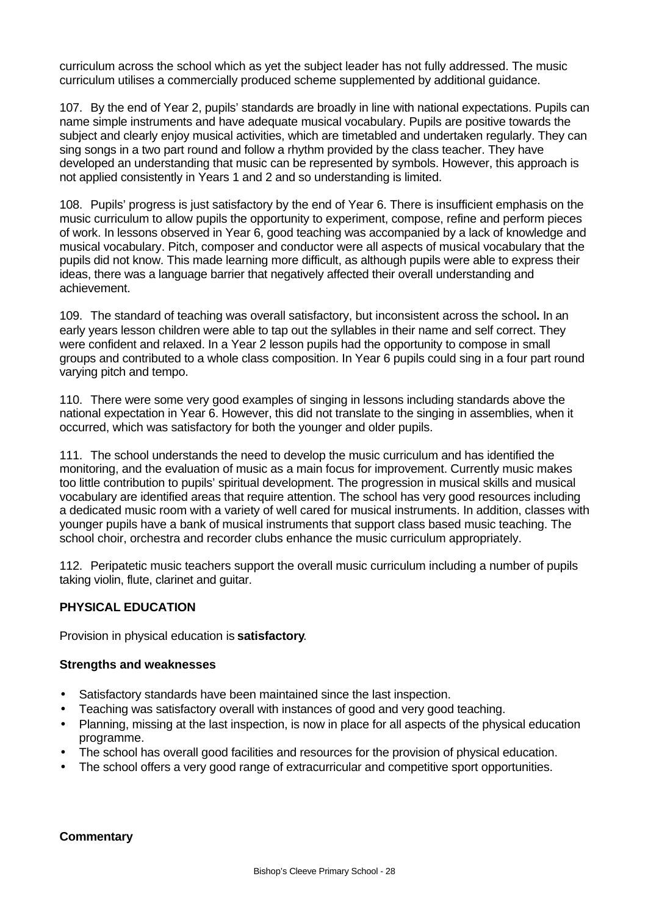curriculum across the school which as yet the subject leader has not fully addressed. The music curriculum utilises a commercially produced scheme supplemented by additional guidance.

107. By the end of Year 2, pupils' standards are broadly in line with national expectations. Pupils can name simple instruments and have adequate musical vocabulary. Pupils are positive towards the subject and clearly enjoy musical activities, which are timetabled and undertaken regularly. They can sing songs in a two part round and follow a rhythm provided by the class teacher. They have developed an understanding that music can be represented by symbols. However, this approach is not applied consistently in Years 1 and 2 and so understanding is limited.

108. Pupils' progress is just satisfactory by the end of Year 6. There is insufficient emphasis on the music curriculum to allow pupils the opportunity to experiment, compose, refine and perform pieces of work. In lessons observed in Year 6, good teaching was accompanied by a lack of knowledge and musical vocabulary. Pitch, composer and conductor were all aspects of musical vocabulary that the pupils did not know. This made learning more difficult, as although pupils were able to express their ideas, there was a language barrier that negatively affected their overall understanding and achievement.

109. The standard of teaching was overall satisfactory, but inconsistent across the school**.** In an early years lesson children were able to tap out the syllables in their name and self correct. They were confident and relaxed. In a Year 2 lesson pupils had the opportunity to compose in small groups and contributed to a whole class composition. In Year 6 pupils could sing in a four part round varying pitch and tempo.

110. There were some very good examples of singing in lessons including standards above the national expectation in Year 6. However, this did not translate to the singing in assemblies, when it occurred, which was satisfactory for both the younger and older pupils.

111. The school understands the need to develop the music curriculum and has identified the monitoring, and the evaluation of music as a main focus for improvement. Currently music makes too little contribution to pupils' spiritual development. The progression in musical skills and musical vocabulary are identified areas that require attention. The school has very good resources including a dedicated music room with a variety of well cared for musical instruments. In addition, classes with younger pupils have a bank of musical instruments that support class based music teaching. The school choir, orchestra and recorder clubs enhance the music curriculum appropriately.

112. Peripatetic music teachers support the overall music curriculum including a number of pupils taking violin, flute, clarinet and guitar.

# **PHYSICAL EDUCATION**

Provision in physical education is **satisfactory**.

#### **Strengths and weaknesses**

- Satisfactory standards have been maintained since the last inspection.
- Teaching was satisfactory overall with instances of good and very good teaching.
- Planning, missing at the last inspection, is now in place for all aspects of the physical education programme.
- The school has overall good facilities and resources for the provision of physical education.
- The school offers a very good range of extracurricular and competitive sport opportunities.

#### **Commentary**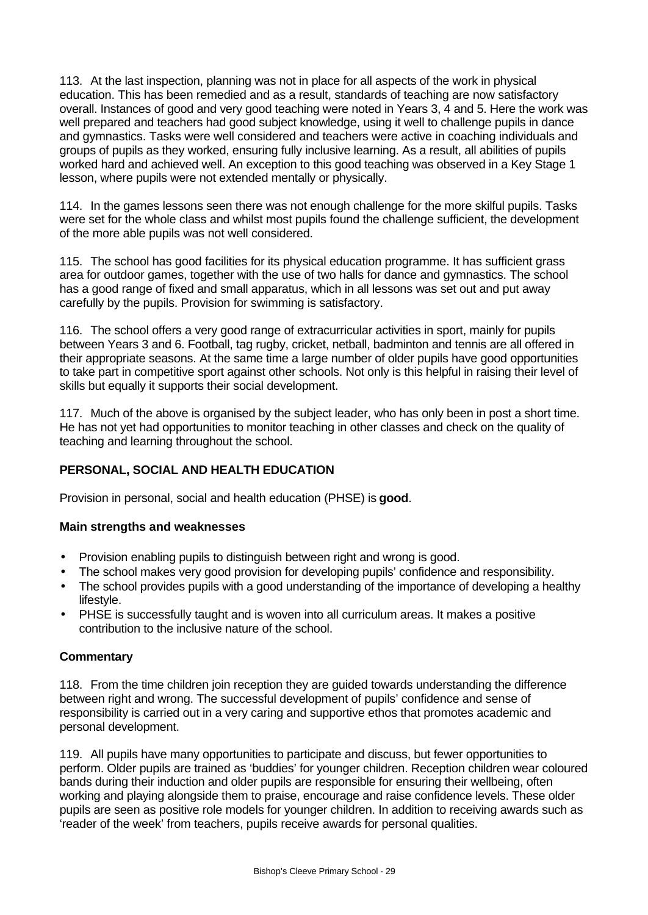113. At the last inspection, planning was not in place for all aspects of the work in physical education. This has been remedied and as a result, standards of teaching are now satisfactory overall. Instances of good and very good teaching were noted in Years 3, 4 and 5. Here the work was well prepared and teachers had good subject knowledge, using it well to challenge pupils in dance and gymnastics. Tasks were well considered and teachers were active in coaching individuals and groups of pupils as they worked, ensuring fully inclusive learning. As a result, all abilities of pupils worked hard and achieved well. An exception to this good teaching was observed in a Key Stage 1 lesson, where pupils were not extended mentally or physically.

114. In the games lessons seen there was not enough challenge for the more skilful pupils. Tasks were set for the whole class and whilst most pupils found the challenge sufficient, the development of the more able pupils was not well considered.

115. The school has good facilities for its physical education programme. It has sufficient grass area for outdoor games, together with the use of two halls for dance and gymnastics. The school has a good range of fixed and small apparatus, which in all lessons was set out and put away carefully by the pupils. Provision for swimming is satisfactory.

116. The school offers a very good range of extracurricular activities in sport, mainly for pupils between Years 3 and 6. Football, tag rugby, cricket, netball, badminton and tennis are all offered in their appropriate seasons. At the same time a large number of older pupils have good opportunities to take part in competitive sport against other schools. Not only is this helpful in raising their level of skills but equally it supports their social development.

117. Much of the above is organised by the subject leader, who has only been in post a short time. He has not yet had opportunities to monitor teaching in other classes and check on the quality of teaching and learning throughout the school.

# **PERSONAL, SOCIAL AND HEALTH EDUCATION**

Provision in personal, social and health education (PHSE) is **good**.

#### **Main strengths and weaknesses**

- Provision enabling pupils to distinguish between right and wrong is good.
- The school makes very good provision for developing pupils' confidence and responsibility.
- The school provides pupils with a good understanding of the importance of developing a healthy lifestyle.
- PHSE is successfully taught and is woven into all curriculum areas. It makes a positive contribution to the inclusive nature of the school.

#### **Commentary**

118. From the time children join reception they are guided towards understanding the difference between right and wrong. The successful development of pupils' confidence and sense of responsibility is carried out in a very caring and supportive ethos that promotes academic and personal development.

119. All pupils have many opportunities to participate and discuss, but fewer opportunities to perform. Older pupils are trained as 'buddies' for younger children. Reception children wear coloured bands during their induction and older pupils are responsible for ensuring their wellbeing, often working and playing alongside them to praise, encourage and raise confidence levels. These older pupils are seen as positive role models for younger children. In addition to receiving awards such as 'reader of the week' from teachers, pupils receive awards for personal qualities.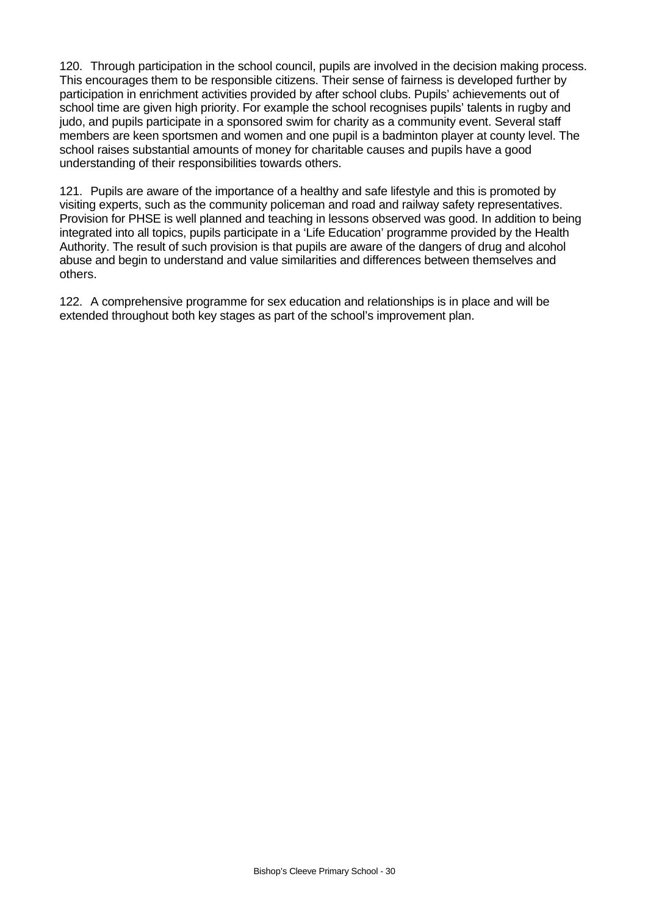120. Through participation in the school council, pupils are involved in the decision making process. This encourages them to be responsible citizens. Their sense of fairness is developed further by participation in enrichment activities provided by after school clubs. Pupils' achievements out of school time are given high priority. For example the school recognises pupils' talents in rugby and judo, and pupils participate in a sponsored swim for charity as a community event. Several staff members are keen sportsmen and women and one pupil is a badminton player at county level. The school raises substantial amounts of money for charitable causes and pupils have a good understanding of their responsibilities towards others.

121. Pupils are aware of the importance of a healthy and safe lifestyle and this is promoted by visiting experts, such as the community policeman and road and railway safety representatives. Provision for PHSE is well planned and teaching in lessons observed was good. In addition to being integrated into all topics, pupils participate in a 'Life Education' programme provided by the Health Authority. The result of such provision is that pupils are aware of the dangers of drug and alcohol abuse and begin to understand and value similarities and differences between themselves and others.

122. A comprehensive programme for sex education and relationships is in place and will be extended throughout both key stages as part of the school's improvement plan.